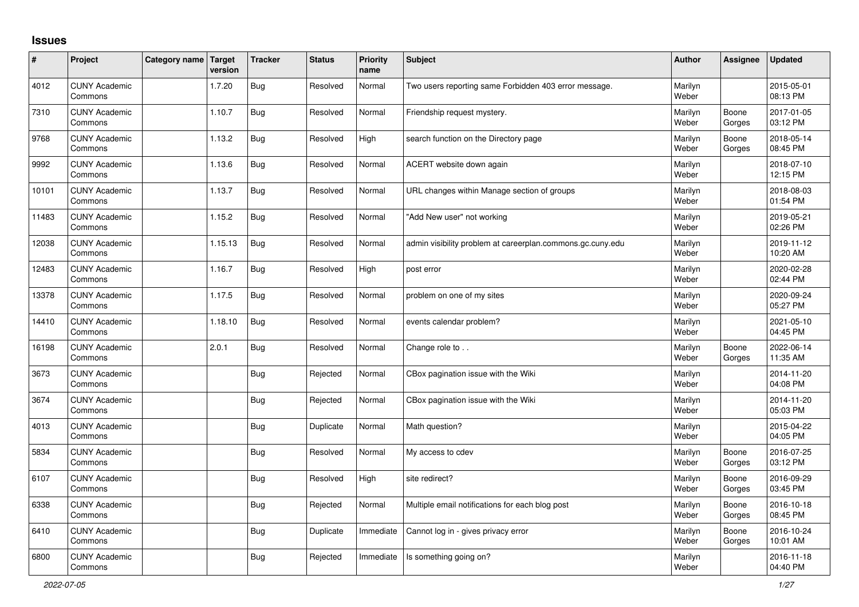## **Issues**

| ∦     | Project                         | Category name Target | version | <b>Tracker</b> | <b>Status</b> | <b>Priority</b><br>name | <b>Subject</b>                                             | <b>Author</b>    | Assignee        | <b>Updated</b>         |
|-------|---------------------------------|----------------------|---------|----------------|---------------|-------------------------|------------------------------------------------------------|------------------|-----------------|------------------------|
| 4012  | <b>CUNY Academic</b><br>Commons |                      | 1.7.20  | Bug            | Resolved      | Normal                  | Two users reporting same Forbidden 403 error message.      | Marilyn<br>Weber |                 | 2015-05-01<br>08:13 PM |
| 7310  | <b>CUNY Academic</b><br>Commons |                      | 1.10.7  | <b>Bug</b>     | Resolved      | Normal                  | Friendship request mystery.                                | Marilyn<br>Weber | Boone<br>Gorges | 2017-01-05<br>03:12 PM |
| 9768  | <b>CUNY Academic</b><br>Commons |                      | 1.13.2  | Bug            | Resolved      | High                    | search function on the Directory page                      | Marilyn<br>Weber | Boone<br>Gorges | 2018-05-14<br>08:45 PM |
| 9992  | <b>CUNY Academic</b><br>Commons |                      | 1.13.6  | Bug            | Resolved      | Normal                  | ACERT website down again                                   | Marilyn<br>Weber |                 | 2018-07-10<br>12:15 PM |
| 10101 | <b>CUNY Academic</b><br>Commons |                      | 1.13.7  | <b>Bug</b>     | Resolved      | Normal                  | URL changes within Manage section of groups                | Marilyn<br>Weber |                 | 2018-08-03<br>01:54 PM |
| 11483 | <b>CUNY Academic</b><br>Commons |                      | 1.15.2  | <b>Bug</b>     | Resolved      | Normal                  | 'Add New user" not working                                 | Marilyn<br>Weber |                 | 2019-05-21<br>02:26 PM |
| 12038 | <b>CUNY Academic</b><br>Commons |                      | 1.15.13 | <b>Bug</b>     | Resolved      | Normal                  | admin visibility problem at careerplan.commons.gc.cuny.edu | Marilyn<br>Weber |                 | 2019-11-12<br>10:20 AM |
| 12483 | <b>CUNY Academic</b><br>Commons |                      | 1.16.7  | <b>Bug</b>     | Resolved      | High                    | post error                                                 | Marilyn<br>Weber |                 | 2020-02-28<br>02:44 PM |
| 13378 | <b>CUNY Academic</b><br>Commons |                      | 1.17.5  | Bug            | Resolved      | Normal                  | problem on one of my sites                                 | Marilyn<br>Weber |                 | 2020-09-24<br>05:27 PM |
| 14410 | <b>CUNY Academic</b><br>Commons |                      | 1.18.10 | <b>Bug</b>     | Resolved      | Normal                  | events calendar problem?                                   | Marilyn<br>Weber |                 | 2021-05-10<br>04:45 PM |
| 16198 | <b>CUNY Academic</b><br>Commons |                      | 2.0.1   | Bug            | Resolved      | Normal                  | Change role to                                             | Marilyn<br>Weber | Boone<br>Gorges | 2022-06-14<br>11:35 AM |
| 3673  | <b>CUNY Academic</b><br>Commons |                      |         | <b>Bug</b>     | Rejected      | Normal                  | CBox pagination issue with the Wiki                        | Marilyn<br>Weber |                 | 2014-11-20<br>04:08 PM |
| 3674  | <b>CUNY Academic</b><br>Commons |                      |         | <b>Bug</b>     | Rejected      | Normal                  | CBox pagination issue with the Wiki                        | Marilyn<br>Weber |                 | 2014-11-20<br>05:03 PM |
| 4013  | <b>CUNY Academic</b><br>Commons |                      |         | Bug            | Duplicate     | Normal                  | Math question?                                             | Marilyn<br>Weber |                 | 2015-04-22<br>04:05 PM |
| 5834  | <b>CUNY Academic</b><br>Commons |                      |         | <b>Bug</b>     | Resolved      | Normal                  | My access to cdev                                          | Marilyn<br>Weber | Boone<br>Gorges | 2016-07-25<br>03:12 PM |
| 6107  | <b>CUNY Academic</b><br>Commons |                      |         | <b>Bug</b>     | Resolved      | High                    | site redirect?                                             | Marilyn<br>Weber | Boone<br>Gorges | 2016-09-29<br>03:45 PM |
| 6338  | <b>CUNY Academic</b><br>Commons |                      |         | <b>Bug</b>     | Rejected      | Normal                  | Multiple email notifications for each blog post            | Marilyn<br>Weber | Boone<br>Gorges | 2016-10-18<br>08:45 PM |
| 6410  | <b>CUNY Academic</b><br>Commons |                      |         | <b>Bug</b>     | Duplicate     | Immediate               | Cannot log in - gives privacy error                        | Marilyn<br>Weber | Boone<br>Gorges | 2016-10-24<br>10:01 AM |
| 6800  | <b>CUNY Academic</b><br>Commons |                      |         | Bug            | Rejected      | Immediate               | Is something going on?                                     | Marilyn<br>Weber |                 | 2016-11-18<br>04:40 PM |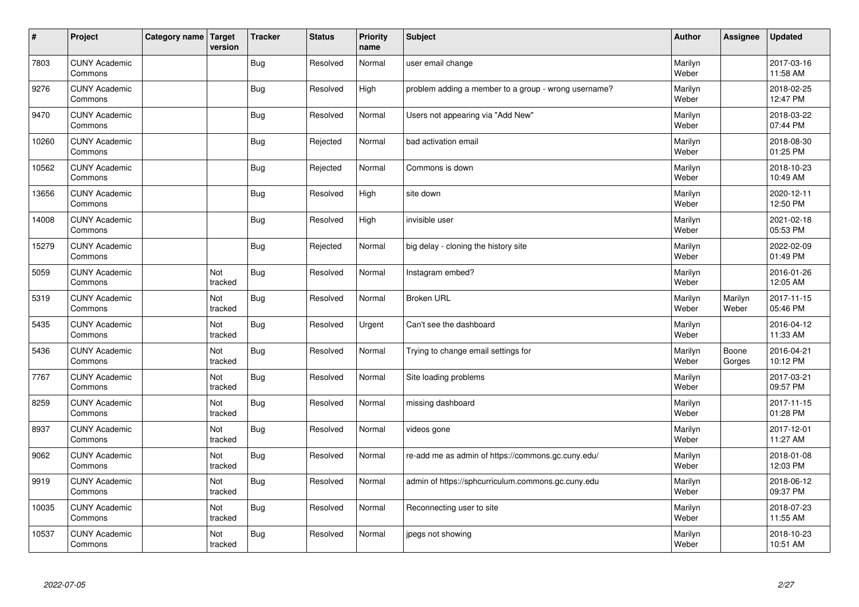| $\vert$ # | Project                         | Category name Target | version        | <b>Tracker</b> | <b>Status</b> | <b>Priority</b><br>name | <b>Subject</b>                                       | <b>Author</b>    | <b>Assignee</b>  | <b>Updated</b>         |
|-----------|---------------------------------|----------------------|----------------|----------------|---------------|-------------------------|------------------------------------------------------|------------------|------------------|------------------------|
| 7803      | <b>CUNY Academic</b><br>Commons |                      |                | <b>Bug</b>     | Resolved      | Normal                  | user email change                                    | Marilyn<br>Weber |                  | 2017-03-16<br>11:58 AM |
| 9276      | <b>CUNY Academic</b><br>Commons |                      |                | <b>Bug</b>     | Resolved      | High                    | problem adding a member to a group - wrong username? | Marilyn<br>Weber |                  | 2018-02-25<br>12:47 PM |
| 9470      | <b>CUNY Academic</b><br>Commons |                      |                | Bug            | Resolved      | Normal                  | Users not appearing via "Add New"                    | Marilyn<br>Weber |                  | 2018-03-22<br>07:44 PM |
| 10260     | <b>CUNY Academic</b><br>Commons |                      |                | <b>Bug</b>     | Rejected      | Normal                  | bad activation email                                 | Marilyn<br>Weber |                  | 2018-08-30<br>01:25 PM |
| 10562     | <b>CUNY Academic</b><br>Commons |                      |                | Bug            | Rejected      | Normal                  | Commons is down                                      | Marilyn<br>Weber |                  | 2018-10-23<br>10:49 AM |
| 13656     | <b>CUNY Academic</b><br>Commons |                      |                | Bug            | Resolved      | High                    | site down                                            | Marilyn<br>Weber |                  | 2020-12-11<br>12:50 PM |
| 14008     | <b>CUNY Academic</b><br>Commons |                      |                | Bug            | Resolved      | High                    | invisible user                                       | Marilyn<br>Weber |                  | 2021-02-18<br>05:53 PM |
| 15279     | <b>CUNY Academic</b><br>Commons |                      |                | <b>Bug</b>     | Rejected      | Normal                  | big delay - cloning the history site                 | Marilyn<br>Weber |                  | 2022-02-09<br>01:49 PM |
| 5059      | <b>CUNY Academic</b><br>Commons |                      | Not<br>tracked | <b>Bug</b>     | Resolved      | Normal                  | Instagram embed?                                     | Marilyn<br>Weber |                  | 2016-01-26<br>12:05 AM |
| 5319      | <b>CUNY Academic</b><br>Commons |                      | Not<br>tracked | Bug            | Resolved      | Normal                  | <b>Broken URL</b>                                    | Marilyn<br>Weber | Marilyn<br>Weber | 2017-11-15<br>05:46 PM |
| 5435      | <b>CUNY Academic</b><br>Commons |                      | Not<br>tracked | Bug            | Resolved      | Urgent                  | Can't see the dashboard                              | Marilyn<br>Weber |                  | 2016-04-12<br>11:33 AM |
| 5436      | <b>CUNY Academic</b><br>Commons |                      | Not<br>tracked | Bug            | Resolved      | Normal                  | Trying to change email settings for                  | Marilyn<br>Weber | Boone<br>Gorges  | 2016-04-21<br>10:12 PM |
| 7767      | <b>CUNY Academic</b><br>Commons |                      | Not<br>tracked | Bug            | Resolved      | Normal                  | Site loading problems                                | Marilyn<br>Weber |                  | 2017-03-21<br>09:57 PM |
| 8259      | <b>CUNY Academic</b><br>Commons |                      | Not<br>tracked | Bug            | Resolved      | Normal                  | missing dashboard                                    | Marilyn<br>Weber |                  | 2017-11-15<br>01:28 PM |
| 8937      | <b>CUNY Academic</b><br>Commons |                      | Not<br>tracked | Bug            | Resolved      | Normal                  | videos gone                                          | Marilyn<br>Weber |                  | 2017-12-01<br>11:27 AM |
| 9062      | <b>CUNY Academic</b><br>Commons |                      | Not<br>tracked | <b>Bug</b>     | Resolved      | Normal                  | re-add me as admin of https://commons.gc.cuny.edu/   | Marilyn<br>Weber |                  | 2018-01-08<br>12:03 PM |
| 9919      | <b>CUNY Academic</b><br>Commons |                      | Not<br>tracked | Bug            | Resolved      | Normal                  | admin of https://sphcurriculum.commons.gc.cuny.edu   | Marilyn<br>Weber |                  | 2018-06-12<br>09:37 PM |
| 10035     | <b>CUNY Academic</b><br>Commons |                      | Not<br>tracked | Bug            | Resolved      | Normal                  | Reconnecting user to site                            | Marilyn<br>Weber |                  | 2018-07-23<br>11:55 AM |
| 10537     | <b>CUNY Academic</b><br>Commons |                      | Not<br>tracked | Bug            | Resolved      | Normal                  | jpegs not showing                                    | Marilyn<br>Weber |                  | 2018-10-23<br>10:51 AM |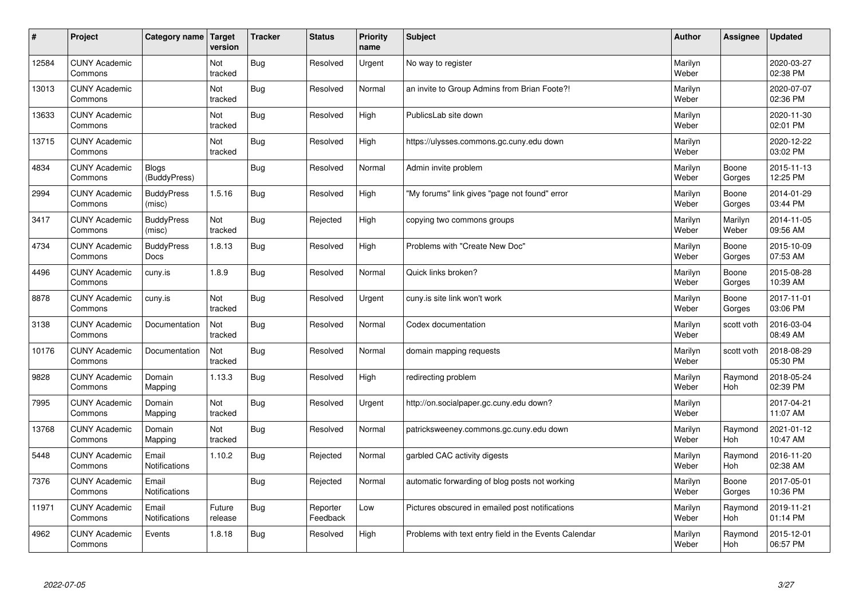| #     | Project                         | Category name   Target           | version           | <b>Tracker</b> | <b>Status</b>        | <b>Priority</b><br>name | <b>Subject</b>                                        | <b>Author</b>    | <b>Assignee</b>       | <b>Updated</b>         |
|-------|---------------------------------|----------------------------------|-------------------|----------------|----------------------|-------------------------|-------------------------------------------------------|------------------|-----------------------|------------------------|
| 12584 | <b>CUNY Academic</b><br>Commons |                                  | Not<br>tracked    | <b>Bug</b>     | Resolved             | Urgent                  | No way to register                                    | Marilyn<br>Weber |                       | 2020-03-27<br>02:38 PM |
| 13013 | <b>CUNY Academic</b><br>Commons |                                  | Not<br>tracked    | Bug            | Resolved             | Normal                  | an invite to Group Admins from Brian Foote?!          | Marilyn<br>Weber |                       | 2020-07-07<br>02:36 PM |
| 13633 | <b>CUNY Academic</b><br>Commons |                                  | Not<br>tracked    | Bug            | Resolved             | High                    | PublicsLab site down                                  | Marilyn<br>Weber |                       | 2020-11-30<br>02:01 PM |
| 13715 | <b>CUNY Academic</b><br>Commons |                                  | Not<br>tracked    | Bug            | Resolved             | High                    | https://ulysses.commons.gc.cuny.edu down              | Marilyn<br>Weber |                       | 2020-12-22<br>03:02 PM |
| 4834  | <b>CUNY Academic</b><br>Commons | <b>Blogs</b><br>(BuddyPress)     |                   | Bug            | Resolved             | Normal                  | Admin invite problem                                  | Marilyn<br>Weber | Boone<br>Gorges       | 2015-11-13<br>12:25 PM |
| 2994  | <b>CUNY Academic</b><br>Commons | <b>BuddyPress</b><br>(misc)      | 1.5.16            | Bug            | Resolved             | High                    | "My forums" link gives "page not found" error         | Marilyn<br>Weber | Boone<br>Gorges       | 2014-01-29<br>03:44 PM |
| 3417  | <b>CUNY Academic</b><br>Commons | <b>BuddyPress</b><br>(misc)      | Not<br>tracked    | Bug            | Rejected             | High                    | copying two commons groups                            | Marilyn<br>Weber | Marilyn<br>Weber      | 2014-11-05<br>09:56 AM |
| 4734  | <b>CUNY Academic</b><br>Commons | <b>BuddyPress</b><br><b>Docs</b> | 1.8.13            | <b>Bug</b>     | Resolved             | High                    | Problems with "Create New Doc"                        | Marilyn<br>Weber | Boone<br>Gorges       | 2015-10-09<br>07:53 AM |
| 4496  | <b>CUNY Academic</b><br>Commons | cuny.is                          | 1.8.9             | Bug            | Resolved             | Normal                  | Quick links broken?                                   | Marilyn<br>Weber | Boone<br>Gorges       | 2015-08-28<br>10:39 AM |
| 8878  | <b>CUNY Academic</b><br>Commons | cuny.is                          | Not<br>tracked    | <b>Bug</b>     | Resolved             | Urgent                  | cuny.is site link won't work                          | Marilyn<br>Weber | Boone<br>Gorges       | 2017-11-01<br>03:06 PM |
| 3138  | <b>CUNY Academic</b><br>Commons | Documentation                    | Not<br>tracked    | Bug            | Resolved             | Normal                  | Codex documentation                                   | Marilyn<br>Weber | scott voth            | 2016-03-04<br>08:49 AM |
| 10176 | <b>CUNY Academic</b><br>Commons | Documentation                    | Not<br>tracked    | Bug            | Resolved             | Normal                  | domain mapping requests                               | Marilyn<br>Weber | scott voth            | 2018-08-29<br>05:30 PM |
| 9828  | <b>CUNY Academic</b><br>Commons | Domain<br>Mapping                | 1.13.3            | Bug            | Resolved             | High                    | redirecting problem                                   | Marilyn<br>Weber | Raymond<br>Hoh        | 2018-05-24<br>02:39 PM |
| 7995  | <b>CUNY Academic</b><br>Commons | Domain<br>Mapping                | Not<br>tracked    | Bug            | Resolved             | Urgent                  | http://on.socialpaper.gc.cuny.edu down?               | Marilyn<br>Weber |                       | 2017-04-21<br>11:07 AM |
| 13768 | <b>CUNY Academic</b><br>Commons | Domain<br>Mapping                | Not<br>tracked    | Bug            | Resolved             | Normal                  | patricksweeney.commons.gc.cuny.edu down               | Marilyn<br>Weber | Raymond<br>Hoh        | 2021-01-12<br>10:47 AM |
| 5448  | <b>CUNY Academic</b><br>Commons | Email<br><b>Notifications</b>    | 1.10.2            | Bug            | Rejected             | Normal                  | garbled CAC activity digests                          | Marilyn<br>Weber | Raymond<br><b>Hoh</b> | 2016-11-20<br>02:38 AM |
| 7376  | <b>CUNY Academic</b><br>Commons | Email<br><b>Notifications</b>    |                   | Bug            | Rejected             | Normal                  | automatic forwarding of blog posts not working        | Marilyn<br>Weber | Boone<br>Gorges       | 2017-05-01<br>10:36 PM |
| 11971 | <b>CUNY Academic</b><br>Commons | Email<br><b>Notifications</b>    | Future<br>release | Bug            | Reporter<br>Feedback | Low                     | Pictures obscured in emailed post notifications       | Marilyn<br>Weber | Raymond<br>Hoh        | 2019-11-21<br>01:14 PM |
| 4962  | <b>CUNY Academic</b><br>Commons | Events                           | 1.8.18            | Bug            | Resolved             | High                    | Problems with text entry field in the Events Calendar | Marilyn<br>Weber | Raymond<br>Hoh        | 2015-12-01<br>06:57 PM |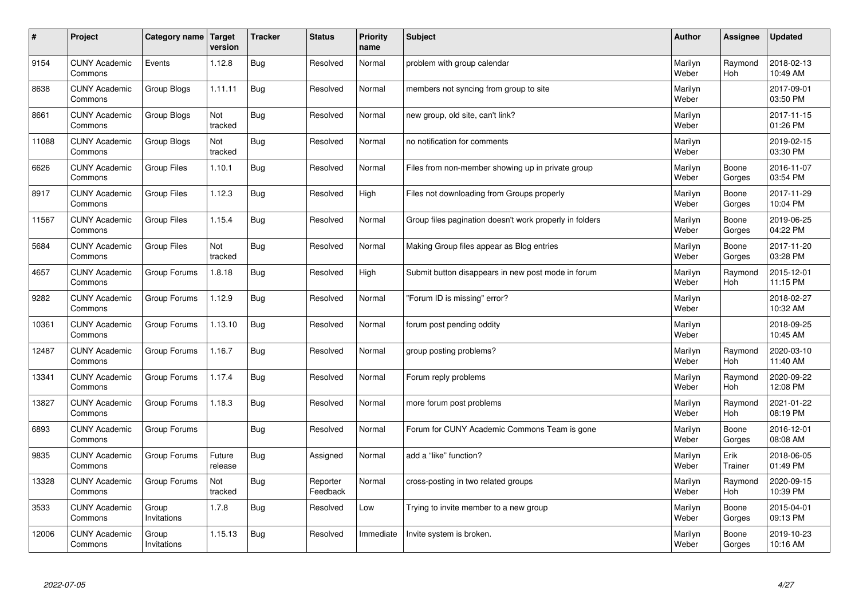| $\sharp$ | Project                         | Category name   Target | version           | <b>Tracker</b> | <b>Status</b>        | <b>Priority</b><br>name | <b>Subject</b>                                          | <b>Author</b>    | Assignee              | <b>Updated</b>         |
|----------|---------------------------------|------------------------|-------------------|----------------|----------------------|-------------------------|---------------------------------------------------------|------------------|-----------------------|------------------------|
| 9154     | <b>CUNY Academic</b><br>Commons | Events                 | 1.12.8            | Bug            | Resolved             | Normal                  | problem with group calendar                             | Marilyn<br>Weber | Raymond<br><b>Hoh</b> | 2018-02-13<br>10:49 AM |
| 8638     | <b>CUNY Academic</b><br>Commons | Group Blogs            | 1.11.11           | Bug            | Resolved             | Normal                  | members not syncing from group to site                  | Marilyn<br>Weber |                       | 2017-09-01<br>03:50 PM |
| 8661     | <b>CUNY Academic</b><br>Commons | Group Blogs            | Not<br>tracked    | Bug            | Resolved             | Normal                  | new group, old site, can't link?                        | Marilyn<br>Weber |                       | 2017-11-15<br>01:26 PM |
| 11088    | <b>CUNY Academic</b><br>Commons | Group Blogs            | Not<br>tracked    | Bug            | Resolved             | Normal                  | no notification for comments                            | Marilyn<br>Weber |                       | 2019-02-15<br>03:30 PM |
| 6626     | <b>CUNY Academic</b><br>Commons | <b>Group Files</b>     | 1.10.1            | Bug            | Resolved             | Normal                  | Files from non-member showing up in private group       | Marilyn<br>Weber | Boone<br>Gorges       | 2016-11-07<br>03:54 PM |
| 8917     | <b>CUNY Academic</b><br>Commons | Group Files            | 1.12.3            | Bug            | Resolved             | High                    | Files not downloading from Groups properly              | Marilyn<br>Weber | Boone<br>Gorges       | 2017-11-29<br>10:04 PM |
| 11567    | <b>CUNY Academic</b><br>Commons | Group Files            | 1.15.4            | <b>Bug</b>     | Resolved             | Normal                  | Group files pagination doesn't work properly in folders | Marilyn<br>Weber | Boone<br>Gorges       | 2019-06-25<br>04:22 PM |
| 5684     | <b>CUNY Academic</b><br>Commons | Group Files            | Not<br>tracked    | Bug            | Resolved             | Normal                  | Making Group files appear as Blog entries               | Marilyn<br>Weber | Boone<br>Gorges       | 2017-11-20<br>03:28 PM |
| 4657     | <b>CUNY Academic</b><br>Commons | Group Forums           | 1.8.18            | Bug            | Resolved             | High                    | Submit button disappears in new post mode in forum      | Marilyn<br>Weber | Raymond<br><b>Hoh</b> | 2015-12-01<br>11:15 PM |
| 9282     | <b>CUNY Academic</b><br>Commons | Group Forums           | 1.12.9            | Bug            | Resolved             | Normal                  | 'Forum ID is missing" error?                            | Marilyn<br>Weber |                       | 2018-02-27<br>10:32 AM |
| 10361    | <b>CUNY Academic</b><br>Commons | Group Forums           | 1.13.10           | Bug            | Resolved             | Normal                  | forum post pending oddity                               | Marilyn<br>Weber |                       | 2018-09-25<br>10:45 AM |
| 12487    | <b>CUNY Academic</b><br>Commons | Group Forums           | 1.16.7            | Bug            | Resolved             | Normal                  | group posting problems?                                 | Marilyn<br>Weber | Raymond<br>Hoh        | 2020-03-10<br>11:40 AM |
| 13341    | <b>CUNY Academic</b><br>Commons | Group Forums           | 1.17.4            | Bug            | Resolved             | Normal                  | Forum reply problems                                    | Marilyn<br>Weber | Raymond<br>Hoh        | 2020-09-22<br>12:08 PM |
| 13827    | <b>CUNY Academic</b><br>Commons | Group Forums           | 1.18.3            | Bug            | Resolved             | Normal                  | more forum post problems                                | Marilyn<br>Weber | Raymond<br><b>Hoh</b> | 2021-01-22<br>08:19 PM |
| 6893     | <b>CUNY Academic</b><br>Commons | Group Forums           |                   | Bug            | Resolved             | Normal                  | Forum for CUNY Academic Commons Team is gone            | Marilyn<br>Weber | Boone<br>Gorges       | 2016-12-01<br>08:08 AM |
| 9835     | <b>CUNY Academic</b><br>Commons | Group Forums           | Future<br>release | Bug            | Assigned             | Normal                  | add a "like" function?                                  | Marilyn<br>Weber | Erik<br>Trainer       | 2018-06-05<br>01:49 PM |
| 13328    | <b>CUNY Academic</b><br>Commons | Group Forums           | Not<br>tracked    | Bug            | Reporter<br>Feedback | Normal                  | cross-posting in two related groups                     | Marilyn<br>Weber | Raymond<br><b>Hoh</b> | 2020-09-15<br>10:39 PM |
| 3533     | <b>CUNY Academic</b><br>Commons | Group<br>Invitations   | 1.7.8             | <b>Bug</b>     | Resolved             | Low                     | Trying to invite member to a new group                  | Marilyn<br>Weber | Boone<br>Gorges       | 2015-04-01<br>09:13 PM |
| 12006    | <b>CUNY Academic</b><br>Commons | Group<br>Invitations   | 1.15.13           | Bug            | Resolved             | Immediate               | Invite system is broken.                                | Marilyn<br>Weber | Boone<br>Gorges       | 2019-10-23<br>10:16 AM |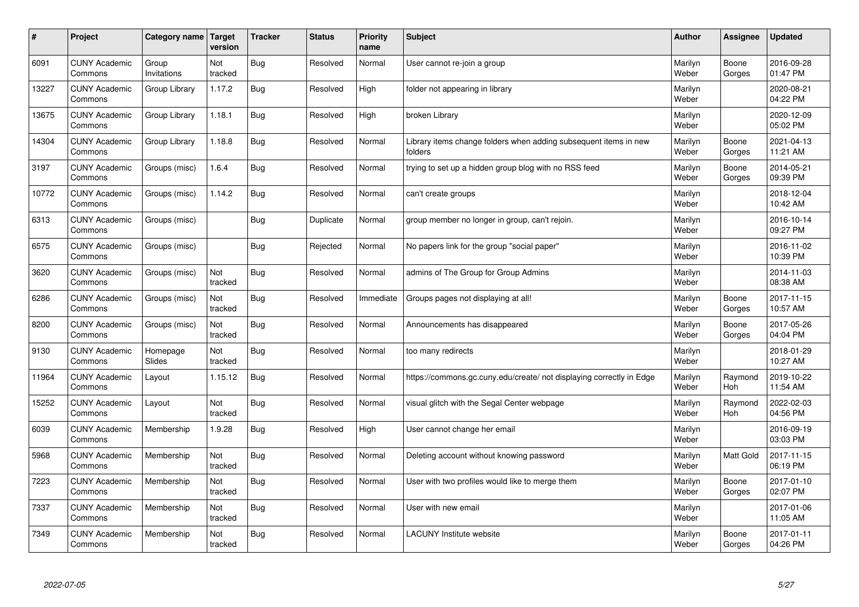| #     | Project                         | Category name   Target | version        | <b>Tracker</b> | <b>Status</b> | <b>Priority</b><br>name | <b>Subject</b>                                                              | <b>Author</b>    | Assignee              | <b>Updated</b>         |
|-------|---------------------------------|------------------------|----------------|----------------|---------------|-------------------------|-----------------------------------------------------------------------------|------------------|-----------------------|------------------------|
| 6091  | <b>CUNY Academic</b><br>Commons | Group<br>Invitations   | Not<br>tracked | Bug            | Resolved      | Normal                  | User cannot re-join a group                                                 | Marilyn<br>Weber | Boone<br>Gorges       | 2016-09-28<br>01:47 PM |
| 13227 | <b>CUNY Academic</b><br>Commons | Group Library          | 1.17.2         | Bug            | Resolved      | High                    | folder not appearing in library                                             | Marilyn<br>Weber |                       | 2020-08-21<br>04:22 PM |
| 13675 | <b>CUNY Academic</b><br>Commons | Group Library          | 1.18.1         | Bug            | Resolved      | High                    | broken Library                                                              | Marilyn<br>Weber |                       | 2020-12-09<br>05:02 PM |
| 14304 | <b>CUNY Academic</b><br>Commons | Group Library          | 1.18.8         | Bug            | Resolved      | Normal                  | Library items change folders when adding subsequent items in new<br>folders | Marilyn<br>Weber | Boone<br>Gorges       | 2021-04-13<br>11:21 AM |
| 3197  | <b>CUNY Academic</b><br>Commons | Groups (misc)          | 1.6.4          | Bug            | Resolved      | Normal                  | trying to set up a hidden group blog with no RSS feed                       | Marilyn<br>Weber | Boone<br>Gorges       | 2014-05-21<br>09:39 PM |
| 10772 | <b>CUNY Academic</b><br>Commons | Groups (misc)          | 1.14.2         | Bug            | Resolved      | Normal                  | can't create groups                                                         | Marilyn<br>Weber |                       | 2018-12-04<br>10:42 AM |
| 6313  | <b>CUNY Academic</b><br>Commons | Groups (misc)          |                | Bug            | Duplicate     | Normal                  | group member no longer in group, can't rejoin.                              | Marilyn<br>Weber |                       | 2016-10-14<br>09:27 PM |
| 6575  | <b>CUNY Academic</b><br>Commons | Groups (misc)          |                | Bug            | Rejected      | Normal                  | No papers link for the group "social paper"                                 | Marilyn<br>Weber |                       | 2016-11-02<br>10:39 PM |
| 3620  | <b>CUNY Academic</b><br>Commons | Groups (misc)          | Not<br>tracked | Bug            | Resolved      | Normal                  | admins of The Group for Group Admins                                        | Marilyn<br>Weber |                       | 2014-11-03<br>08:38 AM |
| 6286  | <b>CUNY Academic</b><br>Commons | Groups (misc)          | Not<br>tracked | Bug            | Resolved      | Immediate               | Groups pages not displaying at all!                                         | Marilyn<br>Weber | Boone<br>Gorges       | 2017-11-15<br>10:57 AM |
| 8200  | <b>CUNY Academic</b><br>Commons | Groups (misc)          | Not<br>tracked | Bug            | Resolved      | Normal                  | Announcements has disappeared                                               | Marilyn<br>Weber | Boone<br>Gorges       | 2017-05-26<br>04:04 PM |
| 9130  | <b>CUNY Academic</b><br>Commons | Homepage<br>Slides     | Not<br>tracked | <b>Bug</b>     | Resolved      | Normal                  | too many redirects                                                          | Marilyn<br>Weber |                       | 2018-01-29<br>10:27 AM |
| 11964 | <b>CUNY Academic</b><br>Commons | Layout                 | 1.15.12        | Bug            | Resolved      | Normal                  | https://commons.gc.cuny.edu/create/ not displaying correctly in Edge        | Marilyn<br>Weber | Raymond<br>Hoh        | 2019-10-22<br>11:54 AM |
| 15252 | <b>CUNY Academic</b><br>Commons | Layout                 | Not<br>tracked | Bug            | Resolved      | Normal                  | visual glitch with the Segal Center webpage                                 | Marilyn<br>Weber | Raymond<br><b>Hoh</b> | 2022-02-03<br>04:56 PM |
| 6039  | <b>CUNY Academic</b><br>Commons | Membership             | 1.9.28         | Bug            | Resolved      | High                    | User cannot change her email                                                | Marilyn<br>Weber |                       | 2016-09-19<br>03:03 PM |
| 5968  | <b>CUNY Academic</b><br>Commons | Membership             | Not<br>tracked | Bug            | Resolved      | Normal                  | Deleting account without knowing password                                   | Marilyn<br>Weber | <b>Matt Gold</b>      | 2017-11-15<br>06:19 PM |
| 7223  | <b>CUNY Academic</b><br>Commons | Membership             | Not<br>tracked | Bug            | Resolved      | Normal                  | User with two profiles would like to merge them                             | Marilyn<br>Weber | Boone<br>Gorges       | 2017-01-10<br>02:07 PM |
| 7337  | <b>CUNY Academic</b><br>Commons | Membership             | Not<br>tracked | Bug            | Resolved      | Normal                  | User with new email                                                         | Marilyn<br>Weber |                       | 2017-01-06<br>11:05 AM |
| 7349  | <b>CUNY Academic</b><br>Commons | Membership             | Not<br>tracked | Bug            | Resolved      | Normal                  | LACUNY Institute website                                                    | Marilyn<br>Weber | Boone<br>Gorges       | 2017-01-11<br>04:26 PM |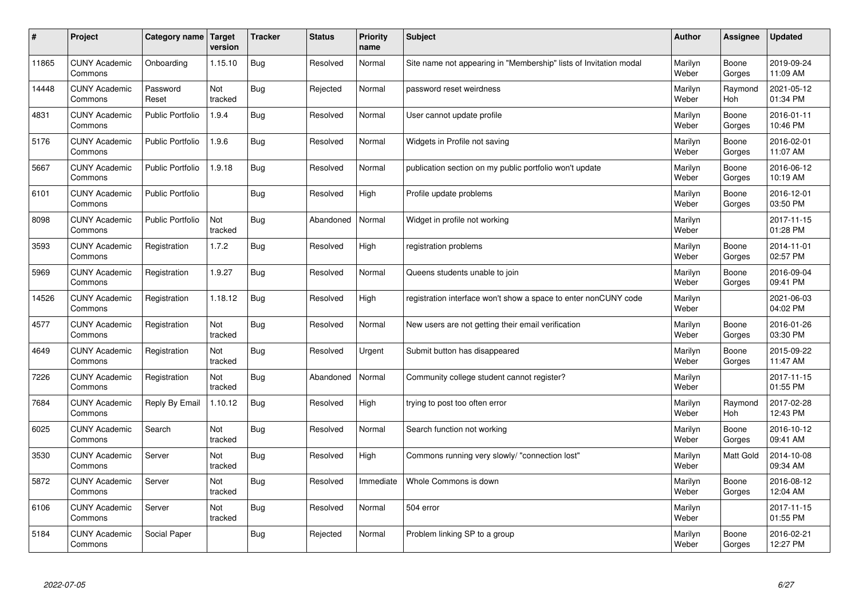| $\pmb{\#}$ | Project                         | Category name           | Target<br>version | <b>Tracker</b> | <b>Status</b> | <b>Priority</b><br>name | <b>Subject</b>                                                    | <b>Author</b>    | Assignee              | <b>Updated</b>         |
|------------|---------------------------------|-------------------------|-------------------|----------------|---------------|-------------------------|-------------------------------------------------------------------|------------------|-----------------------|------------------------|
| 11865      | <b>CUNY Academic</b><br>Commons | Onboarding              | 1.15.10           | <b>Bug</b>     | Resolved      | Normal                  | Site name not appearing in "Membership" lists of Invitation modal | Marilyn<br>Weber | Boone<br>Gorges       | 2019-09-24<br>11:09 AM |
| 14448      | <b>CUNY Academic</b><br>Commons | Password<br>Reset       | Not<br>tracked    | <b>Bug</b>     | Rejected      | Normal                  | password reset weirdness                                          | Marilyn<br>Weber | Raymond<br><b>Hoh</b> | 2021-05-12<br>01:34 PM |
| 4831       | <b>CUNY Academic</b><br>Commons | <b>Public Portfolio</b> | 1.9.4             | Bug            | Resolved      | Normal                  | User cannot update profile                                        | Marilyn<br>Weber | Boone<br>Gorges       | 2016-01-11<br>10:46 PM |
| 5176       | <b>CUNY Academic</b><br>Commons | Public Portfolio        | 1.9.6             | <b>Bug</b>     | Resolved      | Normal                  | Widgets in Profile not saving                                     | Marilyn<br>Weber | Boone<br>Gorges       | 2016-02-01<br>11:07 AM |
| 5667       | <b>CUNY Academic</b><br>Commons | <b>Public Portfolio</b> | 1.9.18            | <b>Bug</b>     | Resolved      | Normal                  | publication section on my public portfolio won't update           | Marilyn<br>Weber | Boone<br>Gorges       | 2016-06-12<br>10:19 AM |
| 6101       | <b>CUNY Academic</b><br>Commons | Public Portfolio        |                   | <b>Bug</b>     | Resolved      | High                    | Profile update problems                                           | Marilyn<br>Weber | Boone<br>Gorges       | 2016-12-01<br>03:50 PM |
| 8098       | <b>CUNY Academic</b><br>Commons | <b>Public Portfolio</b> | Not<br>tracked    | <b>Bug</b>     | Abandoned     | Normal                  | Widget in profile not working                                     | Marilyn<br>Weber |                       | 2017-11-15<br>01:28 PM |
| 3593       | <b>CUNY Academic</b><br>Commons | Registration            | 1.7.2             | <b>Bug</b>     | Resolved      | High                    | registration problems                                             | Marilyn<br>Weber | Boone<br>Gorges       | 2014-11-01<br>02:57 PM |
| 5969       | <b>CUNY Academic</b><br>Commons | Registration            | 1.9.27            | Bug            | Resolved      | Normal                  | Queens students unable to join                                    | Marilyn<br>Weber | Boone<br>Gorges       | 2016-09-04<br>09:41 PM |
| 14526      | <b>CUNY Academic</b><br>Commons | Registration            | 1.18.12           | Bug            | Resolved      | High                    | registration interface won't show a space to enter nonCUNY code   | Marilyn<br>Weber |                       | 2021-06-03<br>04:02 PM |
| 4577       | <b>CUNY Academic</b><br>Commons | Registration            | Not<br>tracked    | Bug            | Resolved      | Normal                  | New users are not getting their email verification                | Marilyn<br>Weber | Boone<br>Gorges       | 2016-01-26<br>03:30 PM |
| 4649       | <b>CUNY Academic</b><br>Commons | Registration            | Not<br>tracked    | <b>Bug</b>     | Resolved      | Urgent                  | Submit button has disappeared                                     | Marilyn<br>Weber | Boone<br>Gorges       | 2015-09-22<br>11:47 AM |
| 7226       | <b>CUNY Academic</b><br>Commons | Registration            | Not<br>tracked    | <b>Bug</b>     | Abandoned     | Normal                  | Community college student cannot register?                        | Marilyn<br>Weber |                       | 2017-11-15<br>01:55 PM |
| 7684       | <b>CUNY Academic</b><br>Commons | Reply By Email          | 1.10.12           | Bug            | Resolved      | High                    | trying to post too often error                                    | Marilyn<br>Weber | Raymond<br><b>Hoh</b> | 2017-02-28<br>12:43 PM |
| 6025       | <b>CUNY Academic</b><br>Commons | Search                  | Not<br>tracked    | Bug            | Resolved      | Normal                  | Search function not working                                       | Marilyn<br>Weber | Boone<br>Gorges       | 2016-10-12<br>09:41 AM |
| 3530       | <b>CUNY Academic</b><br>Commons | Server                  | Not<br>tracked    | Bug            | Resolved      | High                    | Commons running very slowly/ "connection lost"                    | Marilyn<br>Weber | Matt Gold             | 2014-10-08<br>09:34 AM |
| 5872       | <b>CUNY Academic</b><br>Commons | Server                  | Not<br>tracked    | <b>Bug</b>     | Resolved      | Immediate               | Whole Commons is down                                             | Marilyn<br>Weber | Boone<br>Gorges       | 2016-08-12<br>12:04 AM |
| 6106       | <b>CUNY Academic</b><br>Commons | Server                  | Not<br>tracked    | <b>Bug</b>     | Resolved      | Normal                  | 504 error                                                         | Marilyn<br>Weber |                       | 2017-11-15<br>01:55 PM |
| 5184       | <b>CUNY Academic</b><br>Commons | Social Paper            |                   | Bug            | Rejected      | Normal                  | Problem linking SP to a group                                     | Marilyn<br>Weber | Boone<br>Gorges       | 2016-02-21<br>12:27 PM |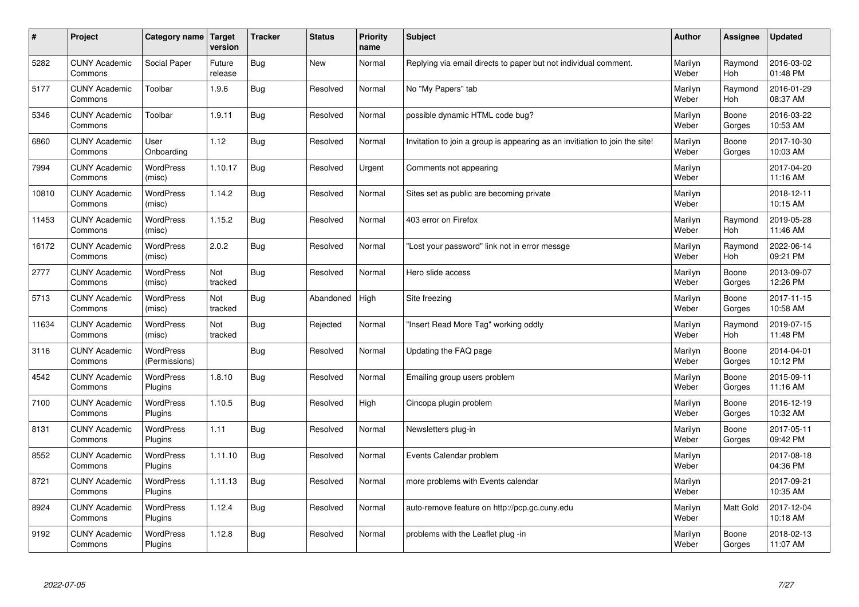| $\sharp$ | Project                         | Category name                     | Target<br>version | <b>Tracker</b> | <b>Status</b> | <b>Priority</b><br>name | <b>Subject</b>                                                              | <b>Author</b>    | Assignee              | <b>Updated</b>         |
|----------|---------------------------------|-----------------------------------|-------------------|----------------|---------------|-------------------------|-----------------------------------------------------------------------------|------------------|-----------------------|------------------------|
| 5282     | <b>CUNY Academic</b><br>Commons | Social Paper                      | Future<br>release | Bug            | <b>New</b>    | Normal                  | Replying via email directs to paper but not individual comment.             | Marilyn<br>Weber | Raymond<br><b>Hoh</b> | 2016-03-02<br>01:48 PM |
| 5177     | <b>CUNY Academic</b><br>Commons | Toolbar                           | 1.9.6             | Bug            | Resolved      | Normal                  | No "My Papers" tab                                                          | Marilyn<br>Weber | Raymond<br><b>Hoh</b> | 2016-01-29<br>08:37 AM |
| 5346     | <b>CUNY Academic</b><br>Commons | Toolbar                           | 1.9.11            | Bug            | Resolved      | Normal                  | possible dynamic HTML code bug?                                             | Marilyn<br>Weber | Boone<br>Gorges       | 2016-03-22<br>10:53 AM |
| 6860     | <b>CUNY Academic</b><br>Commons | User<br>Onboarding                | 1.12              | Bug            | Resolved      | Normal                  | Invitation to join a group is appearing as an invitiation to join the site! | Marilyn<br>Weber | Boone<br>Gorges       | 2017-10-30<br>10:03 AM |
| 7994     | <b>CUNY Academic</b><br>Commons | <b>WordPress</b><br>(misc)        | 1.10.17           | Bug            | Resolved      | Urgent                  | Comments not appearing                                                      | Marilyn<br>Weber |                       | 2017-04-20<br>11:16 AM |
| 10810    | <b>CUNY Academic</b><br>Commons | WordPress<br>(misc)               | 1.14.2            | Bug            | Resolved      | Normal                  | Sites set as public are becoming private                                    | Marilyn<br>Weber |                       | 2018-12-11<br>10:15 AM |
| 11453    | <b>CUNY Academic</b><br>Commons | <b>WordPress</b><br>(misc)        | 1.15.2            | <b>Bug</b>     | Resolved      | Normal                  | 403 error on Firefox                                                        | Marilyn<br>Weber | Raymond<br>Hoh        | 2019-05-28<br>11:46 AM |
| 16172    | <b>CUNY Academic</b><br>Commons | <b>WordPress</b><br>(misc)        | 2.0.2             | Bug            | Resolved      | Normal                  | 'Lost your password" link not in error messge                               | Marilyn<br>Weber | Raymond<br>Hoh        | 2022-06-14<br>09:21 PM |
| 2777     | <b>CUNY Academic</b><br>Commons | <b>WordPress</b><br>(misc)        | Not<br>tracked    | Bug            | Resolved      | Normal                  | Hero slide access                                                           | Marilyn<br>Weber | Boone<br>Gorges       | 2013-09-07<br>12:26 PM |
| 5713     | <b>CUNY Academic</b><br>Commons | WordPress<br>(misc)               | Not<br>tracked    | Bug            | Abandoned     | High                    | Site freezing                                                               | Marilyn<br>Weber | Boone<br>Gorges       | 2017-11-15<br>10:58 AM |
| 11634    | <b>CUNY Academic</b><br>Commons | <b>WordPress</b><br>(misc)        | Not<br>tracked    | Bug            | Rejected      | Normal                  | 'Insert Read More Tag" working oddly                                        | Marilyn<br>Weber | Raymond<br>Hoh        | 2019-07-15<br>11:48 PM |
| 3116     | <b>CUNY Academic</b><br>Commons | <b>WordPress</b><br>(Permissions) |                   | Bug            | Resolved      | Normal                  | Updating the FAQ page                                                       | Marilyn<br>Weber | Boone<br>Gorges       | 2014-04-01<br>10:12 PM |
| 4542     | <b>CUNY Academic</b><br>Commons | <b>WordPress</b><br>Plugins       | 1.8.10            | Bug            | Resolved      | Normal                  | Emailing group users problem                                                | Marilyn<br>Weber | Boone<br>Gorges       | 2015-09-11<br>11:16 AM |
| 7100     | <b>CUNY Academic</b><br>Commons | WordPress<br>Plugins              | 1.10.5            | Bug            | Resolved      | High                    | Cincopa plugin problem                                                      | Marilyn<br>Weber | Boone<br>Gorges       | 2016-12-19<br>10:32 AM |
| 8131     | <b>CUNY Academic</b><br>Commons | WordPress<br>Plugins              | 1.11              | Bug            | Resolved      | Normal                  | Newsletters plug-in                                                         | Marilyn<br>Weber | Boone<br>Gorges       | 2017-05-11<br>09:42 PM |
| 8552     | <b>CUNY Academic</b><br>Commons | WordPress<br>Plugins              | 1.11.10           | Bug            | Resolved      | Normal                  | Events Calendar problem                                                     | Marilyn<br>Weber |                       | 2017-08-18<br>04:36 PM |
| 8721     | <b>CUNY Academic</b><br>Commons | WordPress<br>Plugins              | 1.11.13           | Bug            | Resolved      | Normal                  | more problems with Events calendar                                          | Marilyn<br>Weber |                       | 2017-09-21<br>10:35 AM |
| 8924     | <b>CUNY Academic</b><br>Commons | WordPress<br>Plugins              | 1.12.4            | Bug            | Resolved      | Normal                  | auto-remove feature on http://pcp.gc.cuny.edu                               | Marilyn<br>Weber | Matt Gold             | 2017-12-04<br>10:18 AM |
| 9192     | <b>CUNY Academic</b><br>Commons | WordPress<br>Plugins              | 1.12.8            | Bug            | Resolved      | Normal                  | problems with the Leaflet plug -in                                          | Marilyn<br>Weber | Boone<br>Gorges       | 2018-02-13<br>11:07 AM |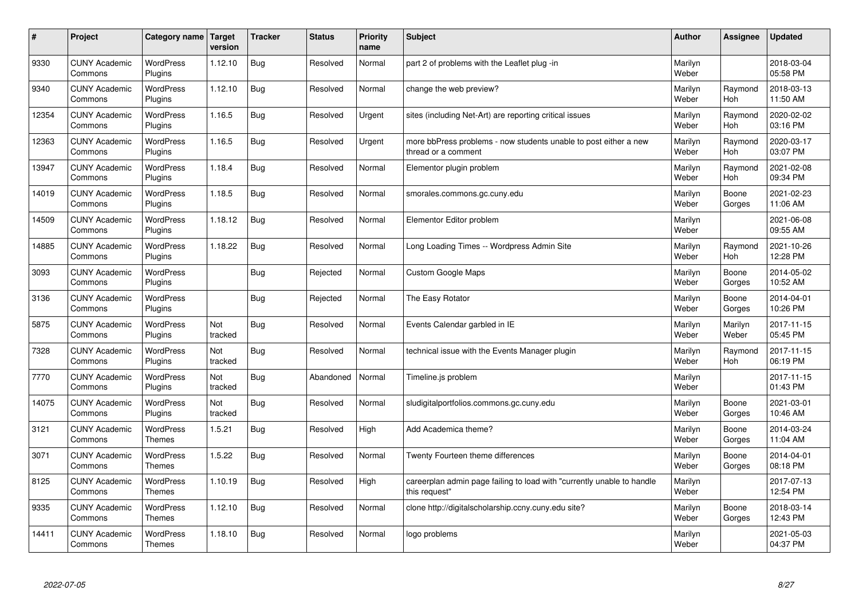| $\vert$ # | Project                         | Category name   Target      | version        | <b>Tracker</b> | <b>Status</b> | <b>Priority</b><br>name | <b>Subject</b>                                                                          | <b>Author</b>    | <b>Assignee</b>       | <b>Updated</b>         |
|-----------|---------------------------------|-----------------------------|----------------|----------------|---------------|-------------------------|-----------------------------------------------------------------------------------------|------------------|-----------------------|------------------------|
| 9330      | <b>CUNY Academic</b><br>Commons | <b>WordPress</b><br>Plugins | 1.12.10        | <b>Bug</b>     | Resolved      | Normal                  | part 2 of problems with the Leaflet plug -in                                            | Marilyn<br>Weber |                       | 2018-03-04<br>05:58 PM |
| 9340      | <b>CUNY Academic</b><br>Commons | WordPress<br>Plugins        | 1.12.10        | <b>Bug</b>     | Resolved      | Normal                  | change the web preview?                                                                 | Marilyn<br>Weber | Raymond<br><b>Hoh</b> | 2018-03-13<br>11:50 AM |
| 12354     | <b>CUNY Academic</b><br>Commons | WordPress<br>Plugins        | 1.16.5         | Bug            | Resolved      | Urgent                  | sites (including Net-Art) are reporting critical issues                                 | Marilyn<br>Weber | Raymond<br><b>Hoh</b> | 2020-02-02<br>03:16 PM |
| 12363     | <b>CUNY Academic</b><br>Commons | <b>WordPress</b><br>Plugins | 1.16.5         | Bug            | Resolved      | Urgent                  | more bbPress problems - now students unable to post either a new<br>thread or a comment | Marilyn<br>Weber | Raymond<br><b>Hoh</b> | 2020-03-17<br>03:07 PM |
| 13947     | <b>CUNY Academic</b><br>Commons | <b>WordPress</b><br>Plugins | 1.18.4         | Bug            | Resolved      | Normal                  | Elementor plugin problem                                                                | Marilyn<br>Weber | Raymond<br><b>Hoh</b> | 2021-02-08<br>09:34 PM |
| 14019     | <b>CUNY Academic</b><br>Commons | WordPress<br>Plugins        | 1.18.5         | <b>Bug</b>     | Resolved      | Normal                  | smorales.commons.gc.cuny.edu                                                            | Marilyn<br>Weber | Boone<br>Gorges       | 2021-02-23<br>11:06 AM |
| 14509     | <b>CUNY Academic</b><br>Commons | WordPress<br>Plugins        | 1.18.12        | Bug            | Resolved      | Normal                  | Elementor Editor problem                                                                | Marilyn<br>Weber |                       | 2021-06-08<br>09:55 AM |
| 14885     | <b>CUNY Academic</b><br>Commons | WordPress<br>Plugins        | 1.18.22        | Bug            | Resolved      | Normal                  | Long Loading Times -- Wordpress Admin Site                                              | Marilyn<br>Weber | Raymond<br>Hoh        | 2021-10-26<br>12:28 PM |
| 3093      | <b>CUNY Academic</b><br>Commons | WordPress<br>Plugins        |                | Bug            | Rejected      | Normal                  | <b>Custom Google Maps</b>                                                               | Marilyn<br>Weber | Boone<br>Gorges       | 2014-05-02<br>10:52 AM |
| 3136      | <b>CUNY Academic</b><br>Commons | <b>WordPress</b><br>Plugins |                | Bug            | Rejected      | Normal                  | The Easy Rotator                                                                        | Marilyn<br>Weber | Boone<br>Gorges       | 2014-04-01<br>10:26 PM |
| 5875      | <b>CUNY Academic</b><br>Commons | WordPress<br>Plugins        | Not<br>tracked | Bug            | Resolved      | Normal                  | Events Calendar garbled in IE                                                           | Marilyn<br>Weber | Marilyn<br>Weber      | 2017-11-15<br>05:45 PM |
| 7328      | <b>CUNY Academic</b><br>Commons | WordPress<br>Plugins        | Not<br>tracked | <b>Bug</b>     | Resolved      | Normal                  | technical issue with the Events Manager plugin                                          | Marilyn<br>Weber | Raymond<br>Hoh        | 2017-11-15<br>06:19 PM |
| 7770      | <b>CUNY Academic</b><br>Commons | WordPress<br>Plugins        | Not<br>tracked | Bug            | Abandoned     | Normal                  | Timeline.js problem                                                                     | Marilyn<br>Weber |                       | 2017-11-15<br>01:43 PM |
| 14075     | <b>CUNY Academic</b><br>Commons | WordPress<br>Plugins        | Not<br>tracked | <b>Bug</b>     | Resolved      | Normal                  | sludigitalportfolios.commons.gc.cuny.edu                                                | Marilyn<br>Weber | Boone<br>Gorges       | 2021-03-01<br>10:46 AM |
| 3121      | <b>CUNY Academic</b><br>Commons | WordPress<br><b>Themes</b>  | 1.5.21         | <b>Bug</b>     | Resolved      | High                    | Add Academica theme?                                                                    | Marilyn<br>Weber | Boone<br>Gorges       | 2014-03-24<br>11:04 AM |
| 3071      | <b>CUNY Academic</b><br>Commons | WordPress<br><b>Themes</b>  | .5.22          | Bug            | Resolved      | Normal                  | Twenty Fourteen theme differences                                                       | Marilyn<br>Weber | Boone<br>Gorges       | 2014-04-01<br>08:18 PM |
| 8125      | <b>CUNY Academic</b><br>Commons | WordPress<br><b>Themes</b>  | 1.10.19        | Bug            | Resolved      | High                    | careerplan admin page failing to load with "currently unable to handle<br>this request" | Marilyn<br>Weber |                       | 2017-07-13<br>12:54 PM |
| 9335      | <b>CUNY Academic</b><br>Commons | WordPress<br>Themes         | 1.12.10        | Bug            | Resolved      | Normal                  | clone http://digitalscholarship.ccny.cuny.edu site?                                     | Marilyn<br>Weber | Boone<br>Gorges       | 2018-03-14<br>12:43 PM |
| 14411     | <b>CUNY Academic</b><br>Commons | <b>WordPress</b><br>Themes  | 1.18.10        | <b>Bug</b>     | Resolved      | Normal                  | logo problems                                                                           | Marilyn<br>Weber |                       | 2021-05-03<br>04:37 PM |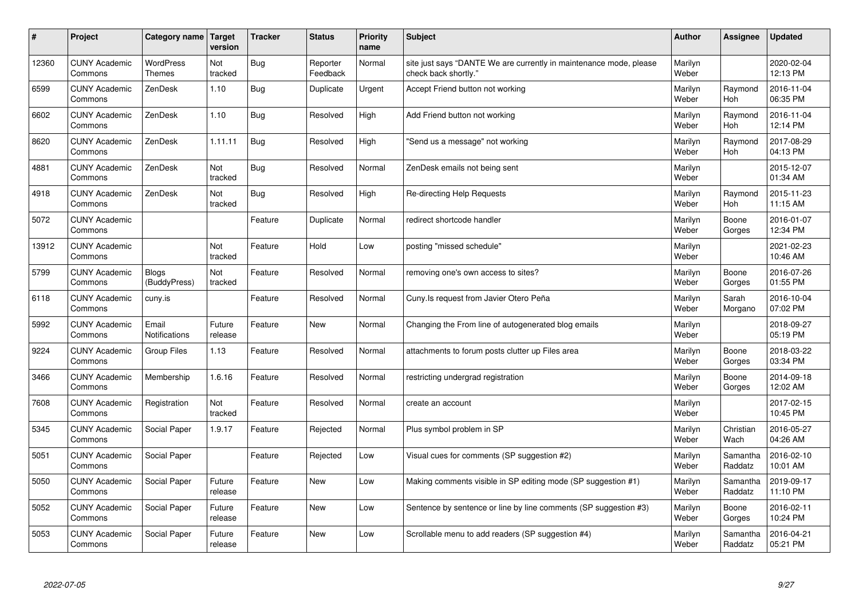| $\pmb{\#}$ | Project                         | Category name                     | Target<br>version | <b>Tracker</b> | <b>Status</b>        | <b>Priority</b><br>name | <b>Subject</b>                                                                             | <b>Author</b>    | Assignee              | <b>Updated</b>         |
|------------|---------------------------------|-----------------------------------|-------------------|----------------|----------------------|-------------------------|--------------------------------------------------------------------------------------------|------------------|-----------------------|------------------------|
| 12360      | <b>CUNY Academic</b><br>Commons | <b>WordPress</b><br><b>Themes</b> | Not<br>tracked    | <b>Bug</b>     | Reporter<br>Feedback | Normal                  | site just says "DANTE We are currently in maintenance mode, please<br>check back shortly." | Marilyn<br>Weber |                       | 2020-02-04<br>12:13 PM |
| 6599       | <b>CUNY Academic</b><br>Commons | ZenDesk                           | 1.10              | <b>Bug</b>     | Duplicate            | Urgent                  | Accept Friend button not working                                                           | Marilyn<br>Weber | Raymond<br>Hoh        | 2016-11-04<br>06:35 PM |
| 6602       | <b>CUNY Academic</b><br>Commons | ZenDesk                           | 1.10              | Bug            | Resolved             | High                    | Add Friend button not working                                                              | Marilyn<br>Weber | Raymond<br><b>Hoh</b> | 2016-11-04<br>12:14 PM |
| 8620       | <b>CUNY Academic</b><br>Commons | ZenDesk                           | 1.11.11           | Bug            | Resolved             | High                    | 'Send us a message" not working                                                            | Marilyn<br>Weber | Raymond<br><b>Hoh</b> | 2017-08-29<br>04:13 PM |
| 4881       | <b>CUNY Academic</b><br>Commons | ZenDesk                           | Not<br>tracked    | <b>Bug</b>     | Resolved             | Normal                  | ZenDesk emails not being sent                                                              | Marilyn<br>Weber |                       | 2015-12-07<br>01:34 AM |
| 4918       | <b>CUNY Academic</b><br>Commons | ZenDesk                           | Not<br>tracked    | Bug            | Resolved             | High                    | Re-directing Help Requests                                                                 | Marilyn<br>Weber | Raymond<br><b>Hoh</b> | 2015-11-23<br>11:15 AM |
| 5072       | <b>CUNY Academic</b><br>Commons |                                   |                   | Feature        | Duplicate            | Normal                  | redirect shortcode handler                                                                 | Marilyn<br>Weber | Boone<br>Gorges       | 2016-01-07<br>12:34 PM |
| 13912      | <b>CUNY Academic</b><br>Commons |                                   | Not<br>tracked    | Feature        | Hold                 | Low                     | posting "missed schedule"                                                                  | Marilyn<br>Weber |                       | 2021-02-23<br>10:46 AM |
| 5799       | <b>CUNY Academic</b><br>Commons | <b>Blogs</b><br>(BuddyPress)      | Not<br>tracked    | Feature        | Resolved             | Normal                  | removing one's own access to sites?                                                        | Marilyn<br>Weber | Boone<br>Gorges       | 2016-07-26<br>01:55 PM |
| 6118       | <b>CUNY Academic</b><br>Commons | cuny.is                           |                   | Feature        | Resolved             | Normal                  | Cuny. Is request from Javier Otero Peña                                                    | Marilyn<br>Weber | Sarah<br>Morgano      | 2016-10-04<br>07:02 PM |
| 5992       | <b>CUNY Academic</b><br>Commons | Email<br>Notifications            | Future<br>release | Feature        | New                  | Normal                  | Changing the From line of autogenerated blog emails                                        | Marilyn<br>Weber |                       | 2018-09-27<br>05:19 PM |
| 9224       | <b>CUNY Academic</b><br>Commons | <b>Group Files</b>                | 1.13              | Feature        | Resolved             | Normal                  | attachments to forum posts clutter up Files area                                           | Marilyn<br>Weber | Boone<br>Gorges       | 2018-03-22<br>03:34 PM |
| 3466       | <b>CUNY Academic</b><br>Commons | Membership                        | 1.6.16            | Feature        | Resolved             | Normal                  | restricting undergrad registration                                                         | Marilyn<br>Weber | Boone<br>Gorges       | 2014-09-18<br>12:02 AM |
| 7608       | <b>CUNY Academic</b><br>Commons | Registration                      | Not<br>tracked    | Feature        | Resolved             | Normal                  | create an account                                                                          | Marilyn<br>Weber |                       | 2017-02-15<br>10:45 PM |
| 5345       | <b>CUNY Academic</b><br>Commons | Social Paper                      | 1.9.17            | Feature        | Rejected             | Normal                  | Plus symbol problem in SP                                                                  | Marilyn<br>Weber | Christian<br>Wach     | 2016-05-27<br>04:26 AM |
| 5051       | <b>CUNY Academic</b><br>Commons | Social Paper                      |                   | Feature        | Rejected             | Low                     | Visual cues for comments (SP suggestion #2)                                                | Marilyn<br>Weber | Samantha<br>Raddatz   | 2016-02-10<br>10:01 AM |
| 5050       | <b>CUNY Academic</b><br>Commons | Social Paper                      | Future<br>release | Feature        | <b>New</b>           | Low                     | Making comments visible in SP editing mode (SP suggestion #1)                              | Marilyn<br>Weber | Samantha<br>Raddatz   | 2019-09-17<br>11:10 PM |
| 5052       | <b>CUNY Academic</b><br>Commons | Social Paper                      | Future<br>release | Feature        | New                  | Low                     | Sentence by sentence or line by line comments (SP suggestion #3)                           | Marilyn<br>Weber | Boone<br>Gorges       | 2016-02-11<br>10:24 PM |
| 5053       | <b>CUNY Academic</b><br>Commons | Social Paper                      | Future<br>release | Feature        | <b>New</b>           | Low                     | Scrollable menu to add readers (SP suggestion #4)                                          | Marilyn<br>Weber | Samantha<br>Raddatz   | 2016-04-21<br>05:21 PM |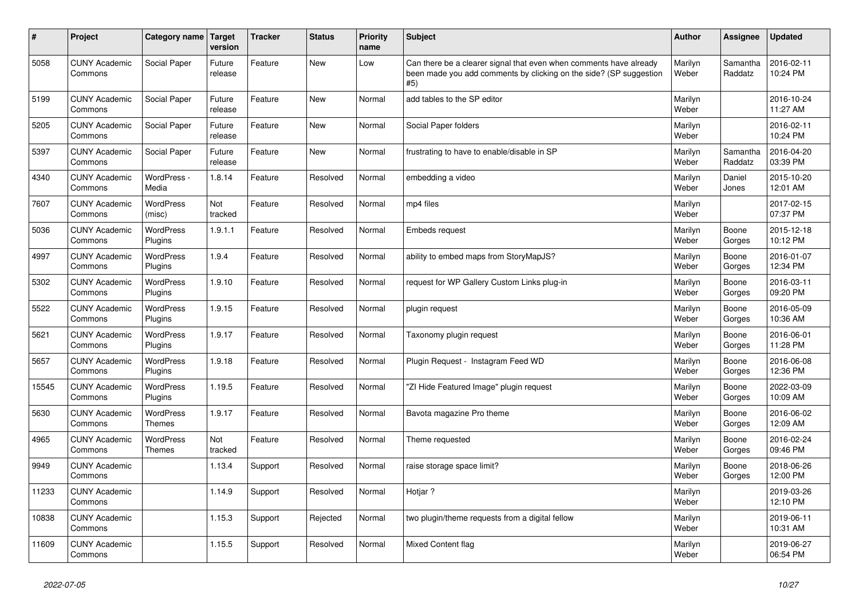| $\vert$ # | Project                         | Category name                     | Target<br>version | <b>Tracker</b> | <b>Status</b> | <b>Priority</b><br>name | <b>Subject</b>                                                                                                                                  | <b>Author</b>    | Assignee            | <b>Updated</b>         |
|-----------|---------------------------------|-----------------------------------|-------------------|----------------|---------------|-------------------------|-------------------------------------------------------------------------------------------------------------------------------------------------|------------------|---------------------|------------------------|
| 5058      | <b>CUNY Academic</b><br>Commons | Social Paper                      | Future<br>release | Feature        | <b>New</b>    | Low                     | Can there be a clearer signal that even when comments have already<br>been made you add comments by clicking on the side? (SP suggestion<br>#5) | Marilyn<br>Weber | Samantha<br>Raddatz | 2016-02-11<br>10:24 PM |
| 5199      | <b>CUNY Academic</b><br>Commons | Social Paper                      | Future<br>release | Feature        | <b>New</b>    | Normal                  | add tables to the SP editor                                                                                                                     | Marilyn<br>Weber |                     | 2016-10-24<br>11:27 AM |
| 5205      | <b>CUNY Academic</b><br>Commons | Social Paper                      | Future<br>release | Feature        | <b>New</b>    | Normal                  | Social Paper folders                                                                                                                            | Marilyn<br>Weber |                     | 2016-02-11<br>10:24 PM |
| 5397      | <b>CUNY Academic</b><br>Commons | Social Paper                      | Future<br>release | Feature        | <b>New</b>    | Normal                  | frustrating to have to enable/disable in SP                                                                                                     | Marilyn<br>Weber | Samantha<br>Raddatz | 2016-04-20<br>03:39 PM |
| 4340      | <b>CUNY Academic</b><br>Commons | WordPress -<br>Media              | 1.8.14            | Feature        | Resolved      | Normal                  | embedding a video                                                                                                                               | Marilyn<br>Weber | Daniel<br>Jones     | 2015-10-20<br>12:01 AM |
| 7607      | <b>CUNY Academic</b><br>Commons | <b>WordPress</b><br>(misc)        | Not<br>tracked    | Feature        | Resolved      | Normal                  | mp4 files                                                                                                                                       | Marilyn<br>Weber |                     | 2017-02-15<br>07:37 PM |
| 5036      | <b>CUNY Academic</b><br>Commons | <b>WordPress</b><br>Plugins       | 1.9.1.1           | Feature        | Resolved      | Normal                  | Embeds request                                                                                                                                  | Marilyn<br>Weber | Boone<br>Gorges     | 2015-12-18<br>10:12 PM |
| 4997      | <b>CUNY Academic</b><br>Commons | <b>WordPress</b><br>Plugins       | 1.9.4             | Feature        | Resolved      | Normal                  | ability to embed maps from StoryMapJS?                                                                                                          | Marilyn<br>Weber | Boone<br>Gorges     | 2016-01-07<br>12:34 PM |
| 5302      | <b>CUNY Academic</b><br>Commons | <b>WordPress</b><br>Plugins       | 1.9.10            | Feature        | Resolved      | Normal                  | request for WP Gallery Custom Links plug-in                                                                                                     | Marilyn<br>Weber | Boone<br>Gorges     | 2016-03-11<br>09:20 PM |
| 5522      | <b>CUNY Academic</b><br>Commons | <b>WordPress</b><br>Plugins       | 1.9.15            | Feature        | Resolved      | Normal                  | plugin request                                                                                                                                  | Marilyn<br>Weber | Boone<br>Gorges     | 2016-05-09<br>10:36 AM |
| 5621      | <b>CUNY Academic</b><br>Commons | WordPress<br>Plugins              | 1.9.17            | Feature        | Resolved      | Normal                  | Taxonomy plugin request                                                                                                                         | Marilyn<br>Weber | Boone<br>Gorges     | 2016-06-01<br>11:28 PM |
| 5657      | <b>CUNY Academic</b><br>Commons | WordPress<br>Plugins              | 1.9.18            | Feature        | Resolved      | Normal                  | Plugin Request - Instagram Feed WD                                                                                                              | Marilyn<br>Weber | Boone<br>Gorges     | 2016-06-08<br>12:36 PM |
| 15545     | <b>CUNY Academic</b><br>Commons | <b>WordPress</b><br>Plugins       | 1.19.5            | Feature        | Resolved      | Normal                  | 'ZI Hide Featured Image" plugin request                                                                                                         | Marilyn<br>Weber | Boone<br>Gorges     | 2022-03-09<br>10:09 AM |
| 5630      | <b>CUNY Academic</b><br>Commons | <b>WordPress</b><br><b>Themes</b> | 1.9.17            | Feature        | Resolved      | Normal                  | Bavota magazine Pro theme                                                                                                                       | Marilyn<br>Weber | Boone<br>Gorges     | 2016-06-02<br>12:09 AM |
| 4965      | <b>CUNY Academic</b><br>Commons | <b>WordPress</b><br><b>Themes</b> | Not<br>tracked    | Feature        | Resolved      | Normal                  | Theme requested                                                                                                                                 | Marilyn<br>Weber | Boone<br>Gorges     | 2016-02-24<br>09:46 PM |
| 9949      | <b>CUNY Academic</b><br>Commons |                                   | 1.13.4            | Support        | Resolved      | Normal                  | raise storage space limit?                                                                                                                      | Marilyn<br>Weber | Boone<br>Gorges     | 2018-06-26<br>12:00 PM |
| 11233     | <b>CUNY Academic</b><br>Commons |                                   | 1.14.9            | Support        | Resolved      | Normal                  | Hotjar ?                                                                                                                                        | Marilyn<br>Weber |                     | 2019-03-26<br>12:10 PM |
| 10838     | <b>CUNY Academic</b><br>Commons |                                   | 1.15.3            | Support        | Rejected      | Normal                  | two plugin/theme requests from a digital fellow                                                                                                 | Marilyn<br>Weber |                     | 2019-06-11<br>10:31 AM |
| 11609     | <b>CUNY Academic</b><br>Commons |                                   | 1.15.5            | Support        | Resolved      | Normal                  | <b>Mixed Content flag</b>                                                                                                                       | Marilyn<br>Weber |                     | 2019-06-27<br>06:54 PM |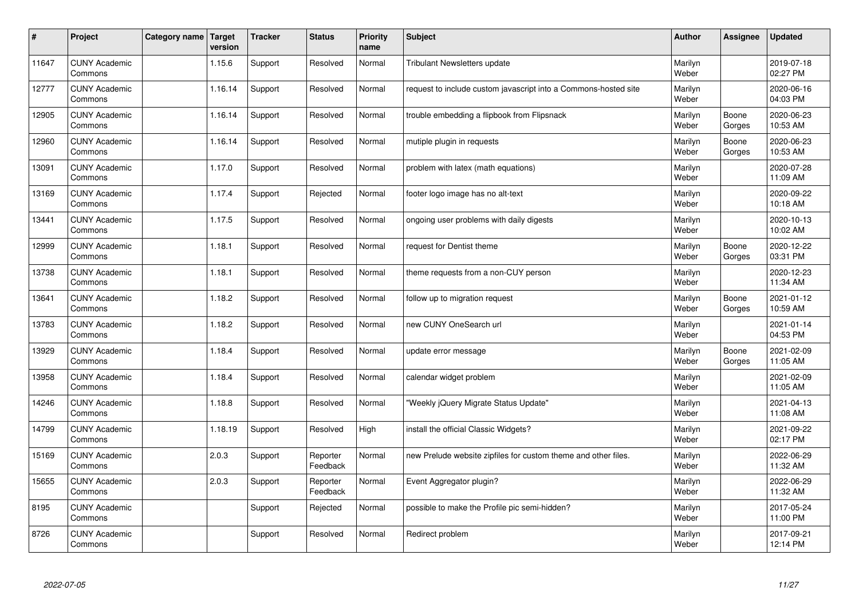| #     | Project                         | Category name   Target | version | <b>Tracker</b> | <b>Status</b>        | <b>Priority</b><br>name | <b>Subject</b>                                                  | <b>Author</b>    | <b>Assignee</b> | <b>Updated</b>         |
|-------|---------------------------------|------------------------|---------|----------------|----------------------|-------------------------|-----------------------------------------------------------------|------------------|-----------------|------------------------|
| 11647 | <b>CUNY Academic</b><br>Commons |                        | 1.15.6  | Support        | Resolved             | Normal                  | <b>Tribulant Newsletters update</b>                             | Marilyn<br>Weber |                 | 2019-07-18<br>02:27 PM |
| 12777 | <b>CUNY Academic</b><br>Commons |                        | 1.16.14 | Support        | Resolved             | Normal                  | request to include custom javascript into a Commons-hosted site | Marilyn<br>Weber |                 | 2020-06-16<br>04:03 PM |
| 12905 | <b>CUNY Academic</b><br>Commons |                        | 1.16.14 | Support        | Resolved             | Normal                  | trouble embedding a flipbook from Flipsnack                     | Marilyn<br>Weber | Boone<br>Gorges | 2020-06-23<br>10:53 AM |
| 12960 | <b>CUNY Academic</b><br>Commons |                        | 1.16.14 | Support        | Resolved             | Normal                  | mutiple plugin in requests                                      | Marilyn<br>Weber | Boone<br>Gorges | 2020-06-23<br>10:53 AM |
| 13091 | <b>CUNY Academic</b><br>Commons |                        | 1.17.0  | Support        | Resolved             | Normal                  | problem with latex (math equations)                             | Marilyn<br>Weber |                 | 2020-07-28<br>11:09 AM |
| 13169 | <b>CUNY Academic</b><br>Commons |                        | 1.17.4  | Support        | Rejected             | Normal                  | footer logo image has no alt-text                               | Marilyn<br>Weber |                 | 2020-09-22<br>10:18 AM |
| 13441 | <b>CUNY Academic</b><br>Commons |                        | 1.17.5  | Support        | Resolved             | Normal                  | ongoing user problems with daily digests                        | Marilyn<br>Weber |                 | 2020-10-13<br>10:02 AM |
| 12999 | <b>CUNY Academic</b><br>Commons |                        | 1.18.1  | Support        | Resolved             | Normal                  | request for Dentist theme                                       | Marilyn<br>Weber | Boone<br>Gorges | 2020-12-22<br>03:31 PM |
| 13738 | <b>CUNY Academic</b><br>Commons |                        | 1.18.1  | Support        | Resolved             | Normal                  | theme requests from a non-CUY person                            | Marilyn<br>Weber |                 | 2020-12-23<br>11:34 AM |
| 13641 | <b>CUNY Academic</b><br>Commons |                        | 1.18.2  | Support        | Resolved             | Normal                  | follow up to migration request                                  | Marilyn<br>Weber | Boone<br>Gorges | 2021-01-12<br>10:59 AM |
| 13783 | <b>CUNY Academic</b><br>Commons |                        | 1.18.2  | Support        | Resolved             | Normal                  | new CUNY OneSearch url                                          | Marilyn<br>Weber |                 | 2021-01-14<br>04:53 PM |
| 13929 | <b>CUNY Academic</b><br>Commons |                        | 1.18.4  | Support        | Resolved             | Normal                  | update error message                                            | Marilyn<br>Weber | Boone<br>Gorges | 2021-02-09<br>11:05 AM |
| 13958 | <b>CUNY Academic</b><br>Commons |                        | 1.18.4  | Support        | Resolved             | Normal                  | calendar widget problem                                         | Marilyn<br>Weber |                 | 2021-02-09<br>11:05 AM |
| 14246 | <b>CUNY Academic</b><br>Commons |                        | 1.18.8  | Support        | Resolved             | Normal                  | 'Weekly jQuery Migrate Status Update"                           | Marilyn<br>Weber |                 | 2021-04-13<br>11:08 AM |
| 14799 | <b>CUNY Academic</b><br>Commons |                        | 1.18.19 | Support        | Resolved             | High                    | install the official Classic Widgets?                           | Marilyn<br>Weber |                 | 2021-09-22<br>02:17 PM |
| 15169 | <b>CUNY Academic</b><br>Commons |                        | 2.0.3   | Support        | Reporter<br>Feedback | Normal                  | new Prelude website zipfiles for custom theme and other files.  | Marilyn<br>Weber |                 | 2022-06-29<br>11:32 AM |
| 15655 | <b>CUNY Academic</b><br>Commons |                        | 2.0.3   | Support        | Reporter<br>Feedback | Normal                  | Event Aggregator plugin?                                        | Marilyn<br>Weber |                 | 2022-06-29<br>11:32 AM |
| 8195  | <b>CUNY Academic</b><br>Commons |                        |         | Support        | Rejected             | Normal                  | possible to make the Profile pic semi-hidden?                   | Marilyn<br>Weber |                 | 2017-05-24<br>11:00 PM |
| 8726  | <b>CUNY Academic</b><br>Commons |                        |         | Support        | Resolved             | Normal                  | Redirect problem                                                | Marilyn<br>Weber |                 | 2017-09-21<br>12:14 PM |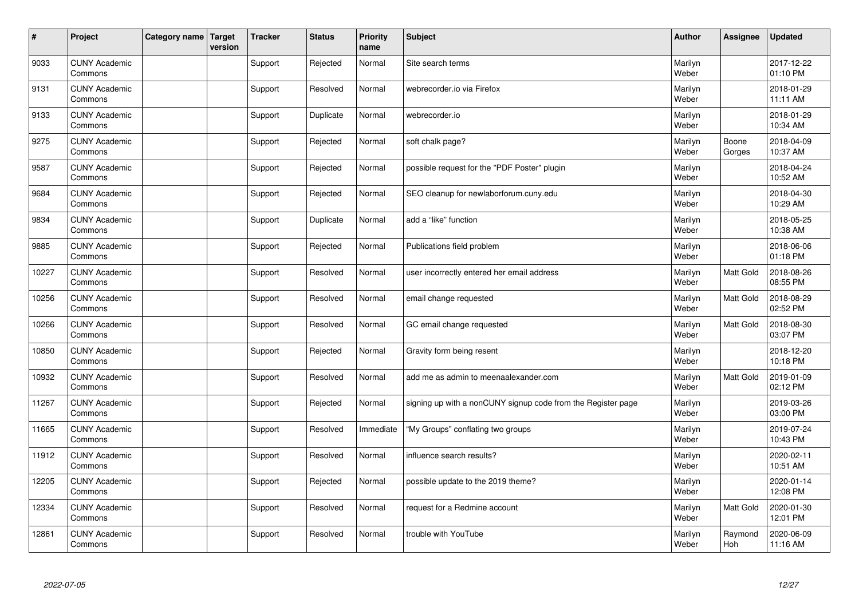| #     | Project                         | Category name   Target | version | <b>Tracker</b> | <b>Status</b> | <b>Priority</b><br>name | <b>Subject</b>                                               | <b>Author</b>    | Assignee         | <b>Updated</b>         |
|-------|---------------------------------|------------------------|---------|----------------|---------------|-------------------------|--------------------------------------------------------------|------------------|------------------|------------------------|
| 9033  | <b>CUNY Academic</b><br>Commons |                        |         | Support        | Rejected      | Normal                  | Site search terms                                            | Marilyn<br>Weber |                  | 2017-12-22<br>01:10 PM |
| 9131  | <b>CUNY Academic</b><br>Commons |                        |         | Support        | Resolved      | Normal                  | webrecorder.io via Firefox                                   | Marilyn<br>Weber |                  | 2018-01-29<br>11:11 AM |
| 9133  | <b>CUNY Academic</b><br>Commons |                        |         | Support        | Duplicate     | Normal                  | webrecorder.io                                               | Marilyn<br>Weber |                  | 2018-01-29<br>10:34 AM |
| 9275  | <b>CUNY Academic</b><br>Commons |                        |         | Support        | Rejected      | Normal                  | soft chalk page?                                             | Marilyn<br>Weber | Boone<br>Gorges  | 2018-04-09<br>10:37 AM |
| 9587  | <b>CUNY Academic</b><br>Commons |                        |         | Support        | Rejected      | Normal                  | possible request for the "PDF Poster" plugin                 | Marilyn<br>Weber |                  | 2018-04-24<br>10:52 AM |
| 9684  | <b>CUNY Academic</b><br>Commons |                        |         | Support        | Rejected      | Normal                  | SEO cleanup for newlaborforum.cuny.edu                       | Marilyn<br>Weber |                  | 2018-04-30<br>10:29 AM |
| 9834  | <b>CUNY Academic</b><br>Commons |                        |         | Support        | Duplicate     | Normal                  | add a "like" function                                        | Marilyn<br>Weber |                  | 2018-05-25<br>10:38 AM |
| 9885  | <b>CUNY Academic</b><br>Commons |                        |         | Support        | Rejected      | Normal                  | Publications field problem                                   | Marilyn<br>Weber |                  | 2018-06-06<br>01:18 PM |
| 10227 | <b>CUNY Academic</b><br>Commons |                        |         | Support        | Resolved      | Normal                  | user incorrectly entered her email address                   | Marilyn<br>Weber | <b>Matt Gold</b> | 2018-08-26<br>08:55 PM |
| 10256 | <b>CUNY Academic</b><br>Commons |                        |         | Support        | Resolved      | Normal                  | email change requested                                       | Marilyn<br>Weber | Matt Gold        | 2018-08-29<br>02:52 PM |
| 10266 | <b>CUNY Academic</b><br>Commons |                        |         | Support        | Resolved      | Normal                  | GC email change requested                                    | Marilyn<br>Weber | Matt Gold        | 2018-08-30<br>03:07 PM |
| 10850 | <b>CUNY Academic</b><br>Commons |                        |         | Support        | Rejected      | Normal                  | Gravity form being resent                                    | Marilyn<br>Weber |                  | 2018-12-20<br>10:18 PM |
| 10932 | <b>CUNY Academic</b><br>Commons |                        |         | Support        | Resolved      | Normal                  | add me as admin to meenaalexander.com                        | Marilyn<br>Weber | <b>Matt Gold</b> | 2019-01-09<br>02:12 PM |
| 11267 | <b>CUNY Academic</b><br>Commons |                        |         | Support        | Rejected      | Normal                  | signing up with a nonCUNY signup code from the Register page | Marilyn<br>Weber |                  | 2019-03-26<br>03:00 PM |
| 11665 | <b>CUNY Academic</b><br>Commons |                        |         | Support        | Resolved      | Immediate               | 'My Groups" conflating two groups                            | Marilyn<br>Weber |                  | 2019-07-24<br>10:43 PM |
| 11912 | <b>CUNY Academic</b><br>Commons |                        |         | Support        | Resolved      | Normal                  | influence search results?                                    | Marilyn<br>Weber |                  | 2020-02-11<br>10:51 AM |
| 12205 | <b>CUNY Academic</b><br>Commons |                        |         | Support        | Rejected      | Normal                  | possible update to the 2019 theme?                           | Marilyn<br>Weber |                  | 2020-01-14<br>12:08 PM |
| 12334 | <b>CUNY Academic</b><br>Commons |                        |         | Support        | Resolved      | Normal                  | request for a Redmine account                                | Marilyn<br>Weber | Matt Gold        | 2020-01-30<br>12:01 PM |
| 12861 | <b>CUNY Academic</b><br>Commons |                        |         | Support        | Resolved      | Normal                  | trouble with YouTube                                         | Marilyn<br>Weber | Raymond<br>Hoh   | 2020-06-09<br>11:16 AM |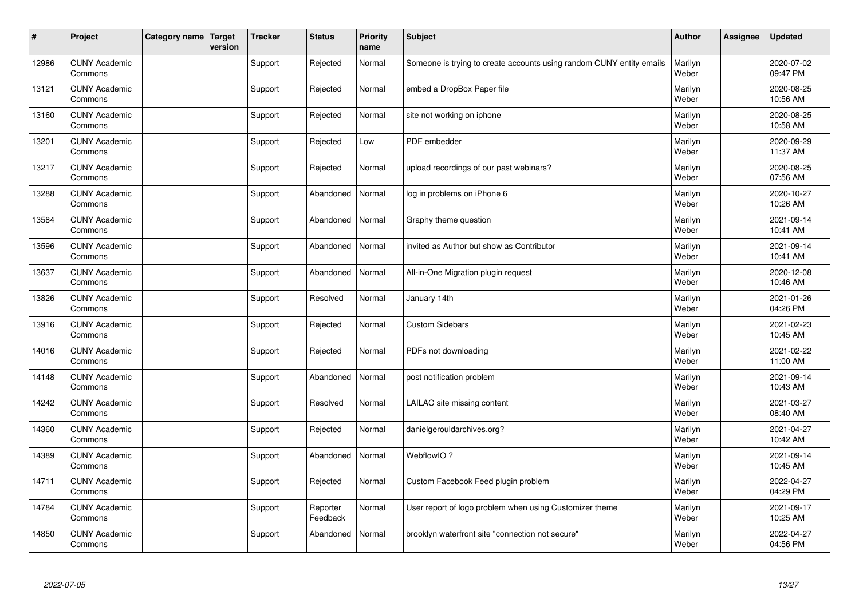| #     | Project                         | Category name   Target | version | <b>Tracker</b> | <b>Status</b>        | <b>Priority</b><br>name | <b>Subject</b>                                                       | <b>Author</b>    | <b>Assignee</b> | <b>Updated</b>         |
|-------|---------------------------------|------------------------|---------|----------------|----------------------|-------------------------|----------------------------------------------------------------------|------------------|-----------------|------------------------|
| 12986 | <b>CUNY Academic</b><br>Commons |                        |         | Support        | Rejected             | Normal                  | Someone is trying to create accounts using random CUNY entity emails | Marilyn<br>Weber |                 | 2020-07-02<br>09:47 PM |
| 13121 | <b>CUNY Academic</b><br>Commons |                        |         | Support        | Rejected             | Normal                  | embed a DropBox Paper file                                           | Marilyn<br>Weber |                 | 2020-08-25<br>10:56 AM |
| 13160 | <b>CUNY Academic</b><br>Commons |                        |         | Support        | Rejected             | Normal                  | site not working on iphone                                           | Marilyn<br>Weber |                 | 2020-08-25<br>10:58 AM |
| 13201 | <b>CUNY Academic</b><br>Commons |                        |         | Support        | Rejected             | Low                     | PDF embedder                                                         | Marilyn<br>Weber |                 | 2020-09-29<br>11:37 AM |
| 13217 | <b>CUNY Academic</b><br>Commons |                        |         | Support        | Rejected             | Normal                  | upload recordings of our past webinars?                              | Marilyn<br>Weber |                 | 2020-08-25<br>07:56 AM |
| 13288 | <b>CUNY Academic</b><br>Commons |                        |         | Support        | Abandoned            | Normal                  | log in problems on iPhone 6                                          | Marilyn<br>Weber |                 | 2020-10-27<br>10:26 AM |
| 13584 | <b>CUNY Academic</b><br>Commons |                        |         | Support        | Abandoned            | Normal                  | Graphy theme question                                                | Marilyn<br>Weber |                 | 2021-09-14<br>10:41 AM |
| 13596 | <b>CUNY Academic</b><br>Commons |                        |         | Support        | Abandoned            | Normal                  | invited as Author but show as Contributor                            | Marilyn<br>Weber |                 | 2021-09-14<br>10:41 AM |
| 13637 | <b>CUNY Academic</b><br>Commons |                        |         | Support        | Abandoned            | Normal                  | All-in-One Migration plugin request                                  | Marilyn<br>Weber |                 | 2020-12-08<br>10:46 AM |
| 13826 | <b>CUNY Academic</b><br>Commons |                        |         | Support        | Resolved             | Normal                  | January 14th                                                         | Marilyn<br>Weber |                 | 2021-01-26<br>04:26 PM |
| 13916 | <b>CUNY Academic</b><br>Commons |                        |         | Support        | Rejected             | Normal                  | <b>Custom Sidebars</b>                                               | Marilyn<br>Weber |                 | 2021-02-23<br>10:45 AM |
| 14016 | <b>CUNY Academic</b><br>Commons |                        |         | Support        | Rejected             | Normal                  | PDFs not downloading                                                 | Marilyn<br>Weber |                 | 2021-02-22<br>11:00 AM |
| 14148 | <b>CUNY Academic</b><br>Commons |                        |         | Support        | Abandoned            | Normal                  | post notification problem                                            | Marilyn<br>Weber |                 | 2021-09-14<br>10:43 AM |
| 14242 | <b>CUNY Academic</b><br>Commons |                        |         | Support        | Resolved             | Normal                  | LAILAC site missing content                                          | Marilyn<br>Weber |                 | 2021-03-27<br>08:40 AM |
| 14360 | <b>CUNY Academic</b><br>Commons |                        |         | Support        | Rejected             | Normal                  | danielgerouldarchives.org?                                           | Marilyn<br>Weber |                 | 2021-04-27<br>10:42 AM |
| 14389 | <b>CUNY Academic</b><br>Commons |                        |         | Support        | Abandoned            | Normal                  | WebflowIO?                                                           | Marilyn<br>Weber |                 | 2021-09-14<br>10:45 AM |
| 14711 | <b>CUNY Academic</b><br>Commons |                        |         | Support        | Rejected             | Normal                  | Custom Facebook Feed plugin problem                                  | Marilyn<br>Weber |                 | 2022-04-27<br>04:29 PM |
| 14784 | <b>CUNY Academic</b><br>Commons |                        |         | Support        | Reporter<br>Feedback | Normal                  | User report of logo problem when using Customizer theme              | Marilyn<br>Weber |                 | 2021-09-17<br>10:25 AM |
| 14850 | <b>CUNY Academic</b><br>Commons |                        |         | Support        | Abandoned            | Normal                  | brooklyn waterfront site "connection not secure"                     | Marilyn<br>Weber |                 | 2022-04-27<br>04:56 PM |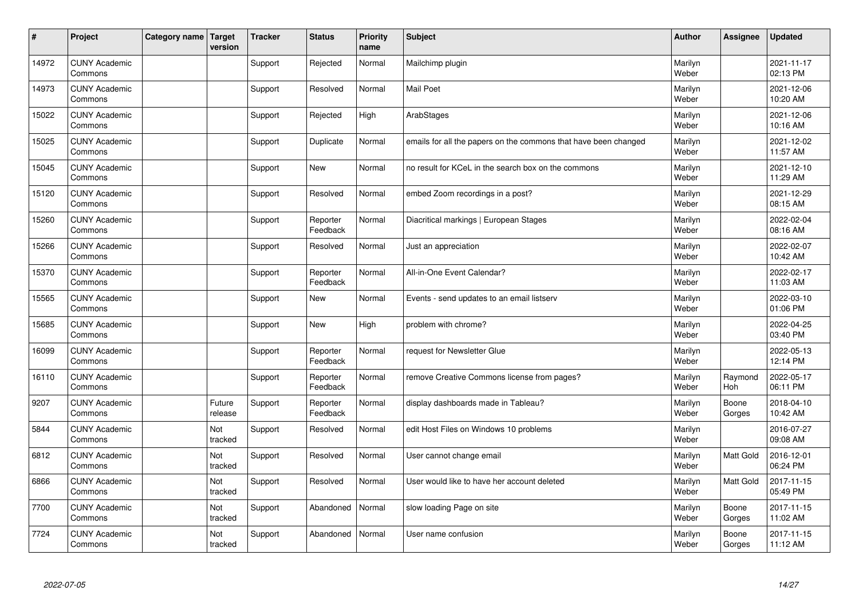| #     | Project                         | Category name | <b>Target</b><br>version | <b>Tracker</b> | <b>Status</b>        | <b>Priority</b><br>name | <b>Subject</b>                                                  | <b>Author</b>    | <b>Assignee</b>  | <b>Updated</b>         |
|-------|---------------------------------|---------------|--------------------------|----------------|----------------------|-------------------------|-----------------------------------------------------------------|------------------|------------------|------------------------|
| 14972 | <b>CUNY Academic</b><br>Commons |               |                          | Support        | Rejected             | Normal                  | Mailchimp plugin                                                | Marilyn<br>Weber |                  | 2021-11-17<br>02:13 PM |
| 14973 | <b>CUNY Academic</b><br>Commons |               |                          | Support        | Resolved             | Normal                  | Mail Poet                                                       | Marilyn<br>Weber |                  | 2021-12-06<br>10:20 AM |
| 15022 | <b>CUNY Academic</b><br>Commons |               |                          | Support        | Rejected             | High                    | ArabStages                                                      | Marilyn<br>Weber |                  | 2021-12-06<br>10:16 AM |
| 15025 | <b>CUNY Academic</b><br>Commons |               |                          | Support        | Duplicate            | Normal                  | emails for all the papers on the commons that have been changed | Marilyn<br>Weber |                  | 2021-12-02<br>11:57 AM |
| 15045 | <b>CUNY Academic</b><br>Commons |               |                          | Support        | New                  | Normal                  | no result for KCeL in the search box on the commons             | Marilyn<br>Weber |                  | 2021-12-10<br>11:29 AM |
| 15120 | <b>CUNY Academic</b><br>Commons |               |                          | Support        | Resolved             | Normal                  | embed Zoom recordings in a post?                                | Marilyn<br>Weber |                  | 2021-12-29<br>08:15 AM |
| 15260 | <b>CUNY Academic</b><br>Commons |               |                          | Support        | Reporter<br>Feedback | Normal                  | Diacritical markings   European Stages                          | Marilyn<br>Weber |                  | 2022-02-04<br>08:16 AM |
| 15266 | <b>CUNY Academic</b><br>Commons |               |                          | Support        | Resolved             | Normal                  | Just an appreciation                                            | Marilyn<br>Weber |                  | 2022-02-07<br>10:42 AM |
| 15370 | <b>CUNY Academic</b><br>Commons |               |                          | Support        | Reporter<br>Feedback | Normal                  | All-in-One Event Calendar?                                      | Marilyn<br>Weber |                  | 2022-02-17<br>11:03 AM |
| 15565 | <b>CUNY Academic</b><br>Commons |               |                          | Support        | <b>New</b>           | Normal                  | Events - send updates to an email listserv                      | Marilyn<br>Weber |                  | 2022-03-10<br>01:06 PM |
| 15685 | <b>CUNY Academic</b><br>Commons |               |                          | Support        | <b>New</b>           | High                    | problem with chrome?                                            | Marilyn<br>Weber |                  | 2022-04-25<br>03:40 PM |
| 16099 | <b>CUNY Academic</b><br>Commons |               |                          | Support        | Reporter<br>Feedback | Normal                  | request for Newsletter Glue                                     | Marilyn<br>Weber |                  | 2022-05-13<br>12:14 PM |
| 16110 | <b>CUNY Academic</b><br>Commons |               |                          | Support        | Reporter<br>Feedback | Normal                  | remove Creative Commons license from pages?                     | Marilyn<br>Weber | Raymond<br>Hoh   | 2022-05-17<br>06:11 PM |
| 9207  | <b>CUNY Academic</b><br>Commons |               | Future<br>release        | Support        | Reporter<br>Feedback | Normal                  | display dashboards made in Tableau?                             | Marilyn<br>Weber | Boone<br>Gorges  | 2018-04-10<br>10:42 AM |
| 5844  | <b>CUNY Academic</b><br>Commons |               | Not<br>tracked           | Support        | Resolved             | Normal                  | edit Host Files on Windows 10 problems                          | Marilyn<br>Weber |                  | 2016-07-27<br>09:08 AM |
| 6812  | <b>CUNY Academic</b><br>Commons |               | Not<br>tracked           | Support        | Resolved             | Normal                  | User cannot change email                                        | Marilyn<br>Weber | <b>Matt Gold</b> | 2016-12-01<br>06:24 PM |
| 6866  | <b>CUNY Academic</b><br>Commons |               | Not<br>tracked           | Support        | Resolved             | Normal                  | User would like to have her account deleted                     | Marilyn<br>Weber | <b>Matt Gold</b> | 2017-11-15<br>05:49 PM |
| 7700  | <b>CUNY Academic</b><br>Commons |               | Not<br>tracked           | Support        | Abandoned            | Normal                  | slow loading Page on site                                       | Marilyn<br>Weber | Boone<br>Gorges  | 2017-11-15<br>11:02 AM |
| 7724  | <b>CUNY Academic</b><br>Commons |               | Not<br>tracked           | Support        | Abandoned            | Normal                  | User name confusion                                             | Marilyn<br>Weber | Boone<br>Gorges  | 2017-11-15<br>11:12 AM |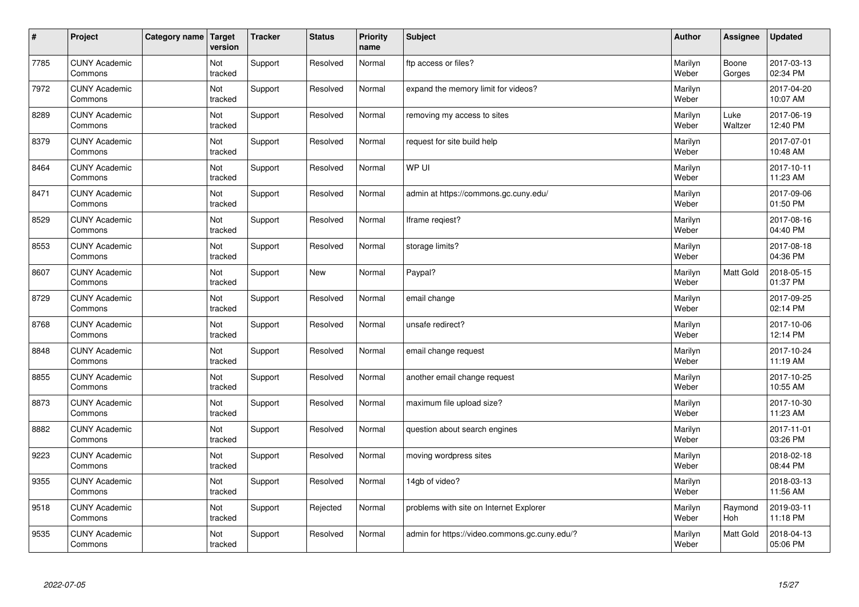| $\vert$ # | Project                         | Category name   Target | version        | <b>Tracker</b> | <b>Status</b> | <b>Priority</b><br>name | <b>Subject</b>                                | <b>Author</b>    | Assignee        | <b>Updated</b>         |
|-----------|---------------------------------|------------------------|----------------|----------------|---------------|-------------------------|-----------------------------------------------|------------------|-----------------|------------------------|
| 7785      | <b>CUNY Academic</b><br>Commons |                        | Not<br>tracked | Support        | Resolved      | Normal                  | ftp access or files?                          | Marilyn<br>Weber | Boone<br>Gorges | 2017-03-13<br>02:34 PM |
| 7972      | <b>CUNY Academic</b><br>Commons |                        | Not<br>tracked | Support        | Resolved      | Normal                  | expand the memory limit for videos?           | Marilyn<br>Weber |                 | 2017-04-20<br>10:07 AM |
| 8289      | <b>CUNY Academic</b><br>Commons |                        | Not<br>tracked | Support        | Resolved      | Normal                  | removing my access to sites                   | Marilyn<br>Weber | Luke<br>Waltzer | 2017-06-19<br>12:40 PM |
| 8379      | <b>CUNY Academic</b><br>Commons |                        | Not<br>tracked | Support        | Resolved      | Normal                  | request for site build help                   | Marilyn<br>Weber |                 | 2017-07-01<br>10:48 AM |
| 8464      | <b>CUNY Academic</b><br>Commons |                        | Not<br>tracked | Support        | Resolved      | Normal                  | WP UI                                         | Marilyn<br>Weber |                 | 2017-10-11<br>11:23 AM |
| 8471      | <b>CUNY Academic</b><br>Commons |                        | Not<br>tracked | Support        | Resolved      | Normal                  | admin at https://commons.gc.cuny.edu/         | Marilyn<br>Weber |                 | 2017-09-06<br>01:50 PM |
| 8529      | <b>CUNY Academic</b><br>Commons |                        | Not<br>tracked | Support        | Resolved      | Normal                  | Iframe regiest?                               | Marilyn<br>Weber |                 | 2017-08-16<br>04:40 PM |
| 8553      | <b>CUNY Academic</b><br>Commons |                        | Not<br>tracked | Support        | Resolved      | Normal                  | storage limits?                               | Marilyn<br>Weber |                 | 2017-08-18<br>04:36 PM |
| 8607      | <b>CUNY Academic</b><br>Commons |                        | Not<br>tracked | Support        | <b>New</b>    | Normal                  | Paypal?                                       | Marilyn<br>Weber | Matt Gold       | 2018-05-15<br>01:37 PM |
| 8729      | <b>CUNY Academic</b><br>Commons |                        | Not<br>tracked | Support        | Resolved      | Normal                  | email change                                  | Marilyn<br>Weber |                 | 2017-09-25<br>02:14 PM |
| 8768      | <b>CUNY Academic</b><br>Commons |                        | Not<br>tracked | Support        | Resolved      | Normal                  | unsafe redirect?                              | Marilyn<br>Weber |                 | 2017-10-06<br>12:14 PM |
| 8848      | <b>CUNY Academic</b><br>Commons |                        | Not<br>tracked | Support        | Resolved      | Normal                  | email change request                          | Marilyn<br>Weber |                 | 2017-10-24<br>11:19 AM |
| 8855      | <b>CUNY Academic</b><br>Commons |                        | Not<br>tracked | Support        | Resolved      | Normal                  | another email change request                  | Marilyn<br>Weber |                 | 2017-10-25<br>10:55 AM |
| 8873      | <b>CUNY Academic</b><br>Commons |                        | Not<br>tracked | Support        | Resolved      | Normal                  | maximum file upload size?                     | Marilyn<br>Weber |                 | 2017-10-30<br>11:23 AM |
| 8882      | <b>CUNY Academic</b><br>Commons |                        | Not<br>tracked | Support        | Resolved      | Normal                  | question about search engines                 | Marilyn<br>Weber |                 | 2017-11-01<br>03:26 PM |
| 9223      | <b>CUNY Academic</b><br>Commons |                        | Not<br>tracked | Support        | Resolved      | Normal                  | moving wordpress sites                        | Marilyn<br>Weber |                 | 2018-02-18<br>08:44 PM |
| 9355      | <b>CUNY Academic</b><br>Commons |                        | Not<br>tracked | Support        | Resolved      | Normal                  | 14gb of video?                                | Marilyn<br>Weber |                 | 2018-03-13<br>11:56 AM |
| 9518      | <b>CUNY Academic</b><br>Commons |                        | Not<br>tracked | Support        | Rejected      | Normal                  | problems with site on Internet Explorer       | Marilyn<br>Weber | Raymond<br>Hoh  | 2019-03-11<br>11:18 PM |
| 9535      | <b>CUNY Academic</b><br>Commons |                        | Not<br>tracked | Support        | Resolved      | Normal                  | admin for https://video.commons.gc.cuny.edu/? | Marilyn<br>Weber | Matt Gold       | 2018-04-13<br>05:06 PM |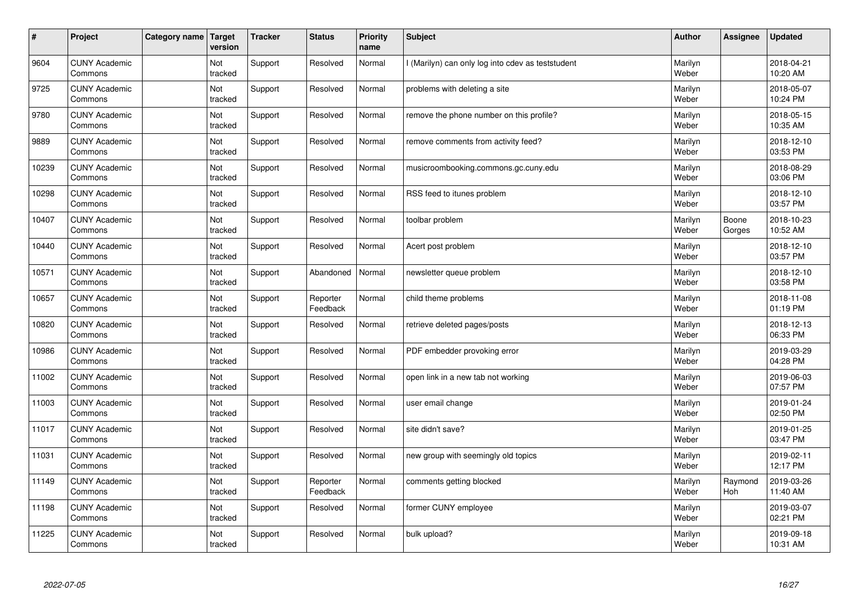| $\vert$ # | Project                         | Category name | Target<br>version     | <b>Tracker</b> | <b>Status</b>        | <b>Priority</b><br>name | <b>Subject</b>                                    | <b>Author</b>    | <b>Assignee</b> | <b>Updated</b>         |
|-----------|---------------------------------|---------------|-----------------------|----------------|----------------------|-------------------------|---------------------------------------------------|------------------|-----------------|------------------------|
| 9604      | <b>CUNY Academic</b><br>Commons |               | Not<br>tracked        | Support        | Resolved             | Normal                  | I (Marilyn) can only log into cdev as teststudent | Marilyn<br>Weber |                 | 2018-04-21<br>10:20 AM |
| 9725      | <b>CUNY Academic</b><br>Commons |               | Not<br>tracked        | Support        | Resolved             | Normal                  | problems with deleting a site                     | Marilyn<br>Weber |                 | 2018-05-07<br>10:24 PM |
| 9780      | <b>CUNY Academic</b><br>Commons |               | Not<br>tracked        | Support        | Resolved             | Normal                  | remove the phone number on this profile?          | Marilyn<br>Weber |                 | 2018-05-15<br>10:35 AM |
| 9889      | <b>CUNY Academic</b><br>Commons |               | Not<br>tracked        | Support        | Resolved             | Normal                  | remove comments from activity feed?               | Marilyn<br>Weber |                 | 2018-12-10<br>03:53 PM |
| 10239     | <b>CUNY Academic</b><br>Commons |               | <b>Not</b><br>tracked | Support        | Resolved             | Normal                  | musicroombooking.commons.gc.cuny.edu              | Marilyn<br>Weber |                 | 2018-08-29<br>03:06 PM |
| 10298     | <b>CUNY Academic</b><br>Commons |               | Not<br>tracked        | Support        | Resolved             | Normal                  | RSS feed to itunes problem                        | Marilyn<br>Weber |                 | 2018-12-10<br>03:57 PM |
| 10407     | <b>CUNY Academic</b><br>Commons |               | Not<br>tracked        | Support        | Resolved             | Normal                  | toolbar problem                                   | Marilyn<br>Weber | Boone<br>Gorges | 2018-10-23<br>10:52 AM |
| 10440     | <b>CUNY Academic</b><br>Commons |               | Not<br>tracked        | Support        | Resolved             | Normal                  | Acert post problem                                | Marilyn<br>Weber |                 | 2018-12-10<br>03:57 PM |
| 10571     | <b>CUNY Academic</b><br>Commons |               | Not<br>tracked        | Support        | Abandoned            | Normal                  | newsletter queue problem                          | Marilyn<br>Weber |                 | 2018-12-10<br>03:58 PM |
| 10657     | <b>CUNY Academic</b><br>Commons |               | Not<br>tracked        | Support        | Reporter<br>Feedback | Normal                  | child theme problems                              | Marilyn<br>Weber |                 | 2018-11-08<br>01:19 PM |
| 10820     | <b>CUNY Academic</b><br>Commons |               | Not<br>tracked        | Support        | Resolved             | Normal                  | retrieve deleted pages/posts                      | Marilyn<br>Weber |                 | 2018-12-13<br>06:33 PM |
| 10986     | <b>CUNY Academic</b><br>Commons |               | Not<br>tracked        | Support        | Resolved             | Normal                  | PDF embedder provoking error                      | Marilyn<br>Weber |                 | 2019-03-29<br>04:28 PM |
| 11002     | <b>CUNY Academic</b><br>Commons |               | Not<br>tracked        | Support        | Resolved             | Normal                  | open link in a new tab not working                | Marilyn<br>Weber |                 | 2019-06-03<br>07:57 PM |
| 11003     | <b>CUNY Academic</b><br>Commons |               | Not<br>tracked        | Support        | Resolved             | Normal                  | user email change                                 | Marilyn<br>Weber |                 | 2019-01-24<br>02:50 PM |
| 11017     | <b>CUNY Academic</b><br>Commons |               | Not<br>tracked        | Support        | Resolved             | Normal                  | site didn't save?                                 | Marilyn<br>Weber |                 | 2019-01-25<br>03:47 PM |
| 11031     | <b>CUNY Academic</b><br>Commons |               | Not<br>tracked        | Support        | Resolved             | Normal                  | new group with seemingly old topics               | Marilyn<br>Weber |                 | 2019-02-11<br>12:17 PM |
| 11149     | <b>CUNY Academic</b><br>Commons |               | Not<br>tracked        | Support        | Reporter<br>Feedback | Normal                  | comments getting blocked                          | Marilyn<br>Weber | Raymond<br>Hoh  | 2019-03-26<br>11:40 AM |
| 11198     | <b>CUNY Academic</b><br>Commons |               | Not<br>tracked        | Support        | Resolved             | Normal                  | former CUNY employee                              | Marilyn<br>Weber |                 | 2019-03-07<br>02:21 PM |
| 11225     | <b>CUNY Academic</b><br>Commons |               | Not<br>tracked        | Support        | Resolved             | Normal                  | bulk upload?                                      | Marilyn<br>Weber |                 | 2019-09-18<br>10:31 AM |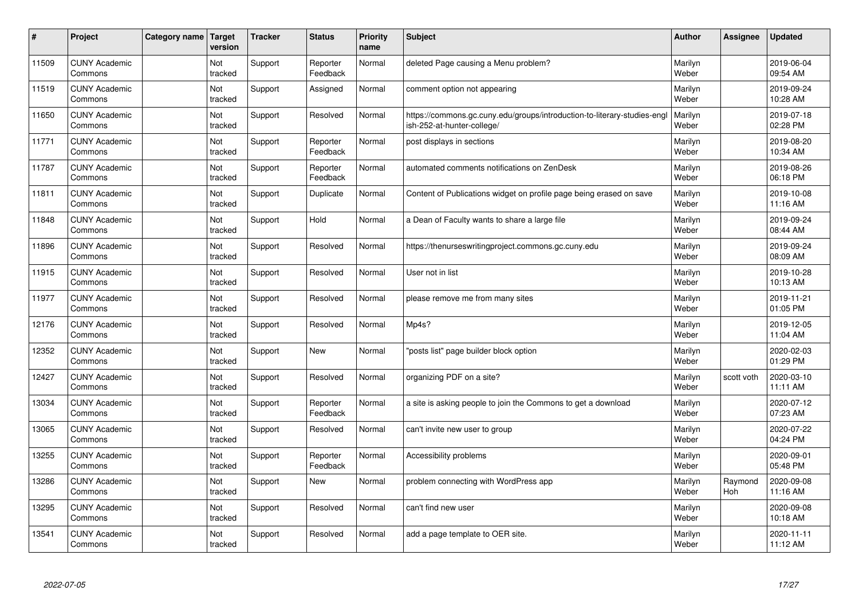| $\pmb{\#}$ | Project                         | Category name | <b>Target</b><br>version | <b>Tracker</b> | <b>Status</b>        | <b>Priority</b><br>name | <b>Subject</b>                                                                                        | <b>Author</b>    | Assignee       | <b>Updated</b>         |
|------------|---------------------------------|---------------|--------------------------|----------------|----------------------|-------------------------|-------------------------------------------------------------------------------------------------------|------------------|----------------|------------------------|
| 11509      | <b>CUNY Academic</b><br>Commons |               | Not<br>tracked           | Support        | Reporter<br>Feedback | Normal                  | deleted Page causing a Menu problem?                                                                  | Marilyn<br>Weber |                | 2019-06-04<br>09:54 AM |
| 11519      | <b>CUNY Academic</b><br>Commons |               | Not<br>tracked           | Support        | Assigned             | Normal                  | comment option not appearing                                                                          | Marilyn<br>Weber |                | 2019-09-24<br>10:28 AM |
| 11650      | <b>CUNY Academic</b><br>Commons |               | Not<br>tracked           | Support        | Resolved             | Normal                  | https://commons.gc.cuny.edu/groups/introduction-to-literary-studies-eng<br>ish-252-at-hunter-college/ | Marilyn<br>Weber |                | 2019-07-18<br>02:28 PM |
| 11771      | <b>CUNY Academic</b><br>Commons |               | Not<br>tracked           | Support        | Reporter<br>Feedback | Normal                  | post displays in sections                                                                             | Marilyn<br>Weber |                | 2019-08-20<br>10:34 AM |
| 11787      | <b>CUNY Academic</b><br>Commons |               | Not<br>tracked           | Support        | Reporter<br>Feedback | Normal                  | automated comments notifications on ZenDesk                                                           | Marilyn<br>Weber |                | 2019-08-26<br>06:18 PM |
| 11811      | <b>CUNY Academic</b><br>Commons |               | Not<br>tracked           | Support        | Duplicate            | Normal                  | Content of Publications widget on profile page being erased on save                                   | Marilyn<br>Weber |                | 2019-10-08<br>11:16 AM |
| 11848      | <b>CUNY Academic</b><br>Commons |               | Not<br>tracked           | Support        | Hold                 | Normal                  | a Dean of Faculty wants to share a large file                                                         | Marilyn<br>Weber |                | 2019-09-24<br>08:44 AM |
| 11896      | <b>CUNY Academic</b><br>Commons |               | Not<br>tracked           | Support        | Resolved             | Normal                  | https://thenurseswritingproject.commons.gc.cuny.edu                                                   | Marilyn<br>Weber |                | 2019-09-24<br>08:09 AM |
| 11915      | <b>CUNY Academic</b><br>Commons |               | Not<br>tracked           | Support        | Resolved             | Normal                  | User not in list                                                                                      | Marilyn<br>Weber |                | 2019-10-28<br>10:13 AM |
| 11977      | <b>CUNY Academic</b><br>Commons |               | Not<br>tracked           | Support        | Resolved             | Normal                  | please remove me from many sites                                                                      | Marilyn<br>Weber |                | 2019-11-21<br>01:05 PM |
| 12176      | <b>CUNY Academic</b><br>Commons |               | Not<br>tracked           | Support        | Resolved             | Normal                  | Mp4s?                                                                                                 | Marilyn<br>Weber |                | 2019-12-05<br>11:04 AM |
| 12352      | <b>CUNY Academic</b><br>Commons |               | Not<br>tracked           | Support        | <b>New</b>           | Normal                  | 'posts list" page builder block option                                                                | Marilyn<br>Weber |                | 2020-02-03<br>01:29 PM |
| 12427      | <b>CUNY Academic</b><br>Commons |               | Not<br>tracked           | Support        | Resolved             | Normal                  | organizing PDF on a site?                                                                             | Marilyn<br>Weber | scott voth     | 2020-03-10<br>11:11 AM |
| 13034      | <b>CUNY Academic</b><br>Commons |               | Not<br>tracked           | Support        | Reporter<br>Feedback | Normal                  | a site is asking people to join the Commons to get a download                                         | Marilyn<br>Weber |                | 2020-07-12<br>07:23 AM |
| 13065      | <b>CUNY Academic</b><br>Commons |               | Not<br>tracked           | Support        | Resolved             | Normal                  | can't invite new user to group                                                                        | Marilyn<br>Weber |                | 2020-07-22<br>04:24 PM |
| 13255      | <b>CUNY Academic</b><br>Commons |               | Not<br>tracked           | Support        | Reporter<br>Feedback | Normal                  | Accessibility problems                                                                                | Marilyn<br>Weber |                | 2020-09-01<br>05:48 PM |
| 13286      | <b>CUNY Academic</b><br>Commons |               | Not<br>tracked           | Support        | New                  | Normal                  | problem connecting with WordPress app                                                                 | Marilyn<br>Weber | Raymond<br>Hoh | 2020-09-08<br>11:16 AM |
| 13295      | <b>CUNY Academic</b><br>Commons |               | Not<br>tracked           | Support        | Resolved             | Normal                  | can't find new user                                                                                   | Marilyn<br>Weber |                | 2020-09-08<br>10:18 AM |
| 13541      | <b>CUNY Academic</b><br>Commons |               | Not<br>tracked           | Support        | Resolved             | Normal                  | add a page template to OER site.                                                                      | Marilyn<br>Weber |                | 2020-11-11<br>11:12 AM |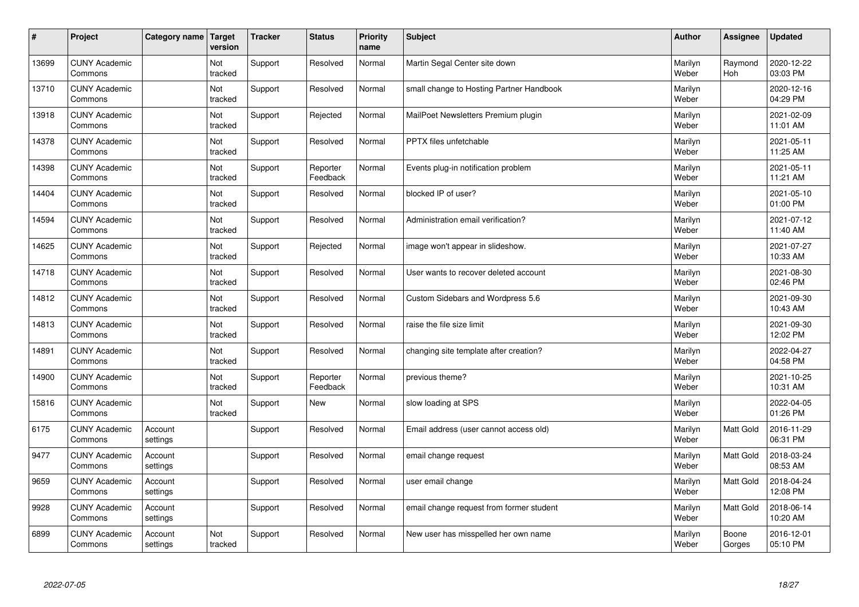| $\sharp$ | Project                         | Category name       | Target<br>version | <b>Tracker</b> | <b>Status</b>        | <b>Priority</b><br>name | <b>Subject</b>                           | <b>Author</b>    | Assignee        | <b>Updated</b>         |
|----------|---------------------------------|---------------------|-------------------|----------------|----------------------|-------------------------|------------------------------------------|------------------|-----------------|------------------------|
| 13699    | <b>CUNY Academic</b><br>Commons |                     | Not<br>tracked    | Support        | Resolved             | Normal                  | Martin Segal Center site down            | Marilyn<br>Weber | Raymond<br>Hoh  | 2020-12-22<br>03:03 PM |
| 13710    | <b>CUNY Academic</b><br>Commons |                     | Not<br>tracked    | Support        | Resolved             | Normal                  | small change to Hosting Partner Handbook | Marilyn<br>Weber |                 | 2020-12-16<br>04:29 PM |
| 13918    | <b>CUNY Academic</b><br>Commons |                     | Not<br>tracked    | Support        | Rejected             | Normal                  | MailPoet Newsletters Premium plugin      | Marilyn<br>Weber |                 | 2021-02-09<br>11:01 AM |
| 14378    | <b>CUNY Academic</b><br>Commons |                     | Not<br>tracked    | Support        | Resolved             | Normal                  | <b>PPTX</b> files unfetchable            | Marilyn<br>Weber |                 | 2021-05-11<br>11:25 AM |
| 14398    | <b>CUNY Academic</b><br>Commons |                     | Not<br>tracked    | Support        | Reporter<br>Feedback | Normal                  | Events plug-in notification problem      | Marilyn<br>Weber |                 | 2021-05-11<br>11:21 AM |
| 14404    | <b>CUNY Academic</b><br>Commons |                     | Not<br>tracked    | Support        | Resolved             | Normal                  | blocked IP of user?                      | Marilyn<br>Weber |                 | 2021-05-10<br>01:00 PM |
| 14594    | <b>CUNY Academic</b><br>Commons |                     | Not<br>tracked    | Support        | Resolved             | Normal                  | Administration email verification?       | Marilyn<br>Weber |                 | 2021-07-12<br>11:40 AM |
| 14625    | <b>CUNY Academic</b><br>Commons |                     | Not<br>tracked    | Support        | Rejected             | Normal                  | image won't appear in slideshow.         | Marilyn<br>Weber |                 | 2021-07-27<br>10:33 AM |
| 14718    | <b>CUNY Academic</b><br>Commons |                     | Not<br>tracked    | Support        | Resolved             | Normal                  | User wants to recover deleted account    | Marilyn<br>Weber |                 | 2021-08-30<br>02:46 PM |
| 14812    | <b>CUNY Academic</b><br>Commons |                     | Not<br>tracked    | Support        | Resolved             | Normal                  | Custom Sidebars and Wordpress 5.6        | Marilyn<br>Weber |                 | 2021-09-30<br>10:43 AM |
| 14813    | <b>CUNY Academic</b><br>Commons |                     | Not<br>tracked    | Support        | Resolved             | Normal                  | raise the file size limit                | Marilyn<br>Weber |                 | 2021-09-30<br>12:02 PM |
| 14891    | <b>CUNY Academic</b><br>Commons |                     | Not<br>tracked    | Support        | Resolved             | Normal                  | changing site template after creation?   | Marilyn<br>Weber |                 | 2022-04-27<br>04:58 PM |
| 14900    | <b>CUNY Academic</b><br>Commons |                     | Not<br>tracked    | Support        | Reporter<br>Feedback | Normal                  | previous theme?                          | Marilyn<br>Weber |                 | 2021-10-25<br>10:31 AM |
| 15816    | <b>CUNY Academic</b><br>Commons |                     | Not<br>tracked    | Support        | <b>New</b>           | Normal                  | slow loading at SPS                      | Marilyn<br>Weber |                 | 2022-04-05<br>01:26 PM |
| 6175     | <b>CUNY Academic</b><br>Commons | Account<br>settings |                   | Support        | Resolved             | Normal                  | Email address (user cannot access old)   | Marilyn<br>Weber | Matt Gold       | 2016-11-29<br>06:31 PM |
| 9477     | <b>CUNY Academic</b><br>Commons | Account<br>settings |                   | Support        | Resolved             | Normal                  | email change request                     | Marilyn<br>Weber | Matt Gold       | 2018-03-24<br>08:53 AM |
| 9659     | <b>CUNY Academic</b><br>Commons | Account<br>settings |                   | Support        | Resolved             | Normal                  | user email change                        | Marilyn<br>Weber | Matt Gold       | 2018-04-24<br>12:08 PM |
| 9928     | <b>CUNY Academic</b><br>Commons | Account<br>settings |                   | Support        | Resolved             | Normal                  | email change request from former student | Marilyn<br>Weber | Matt Gold       | 2018-06-14<br>10:20 AM |
| 6899     | <b>CUNY Academic</b><br>Commons | Account<br>settings | Not<br>tracked    | Support        | Resolved             | Normal                  | New user has misspelled her own name     | Marilyn<br>Weber | Boone<br>Gorges | 2016-12-01<br>05:10 PM |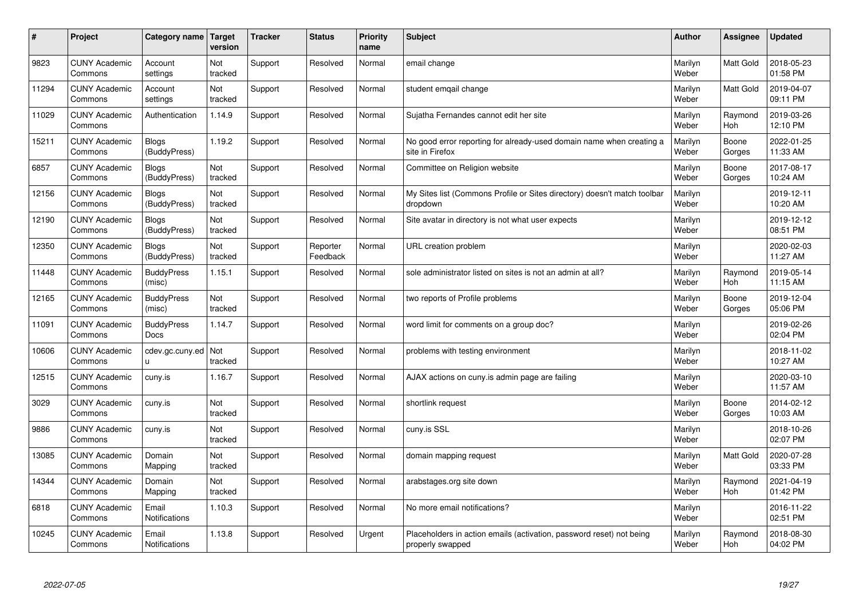| #     | Project                         | Category name                 | Target<br>version | <b>Tracker</b> | <b>Status</b>        | <b>Priority</b><br>name | <b>Subject</b>                                                                           | <b>Author</b>    | Assignee              | Updated                |
|-------|---------------------------------|-------------------------------|-------------------|----------------|----------------------|-------------------------|------------------------------------------------------------------------------------------|------------------|-----------------------|------------------------|
| 9823  | <b>CUNY Academic</b><br>Commons | Account<br>settings           | Not<br>tracked    | Support        | Resolved             | Normal                  | email change                                                                             | Marilyn<br>Weber | <b>Matt Gold</b>      | 2018-05-23<br>01:58 PM |
| 11294 | <b>CUNY Academic</b><br>Commons | Account<br>settings           | Not<br>tracked    | Support        | Resolved             | Normal                  | student emgail change                                                                    | Marilyn<br>Weber | Matt Gold             | 2019-04-07<br>09:11 PM |
| 11029 | <b>CUNY Academic</b><br>Commons | Authentication                | 1.14.9            | Support        | Resolved             | Normal                  | Sujatha Fernandes cannot edit her site                                                   | Marilyn<br>Weber | Raymond<br><b>Hoh</b> | 2019-03-26<br>12:10 PM |
| 15211 | <b>CUNY Academic</b><br>Commons | Blogs<br>(BuddyPress)         | 1.19.2            | Support        | Resolved             | Normal                  | No good error reporting for already-used domain name when creating a<br>site in Firefox  | Marilyn<br>Weber | Boone<br>Gorges       | 2022-01-25<br>11:33 AM |
| 6857  | <b>CUNY Academic</b><br>Commons | <b>Blogs</b><br>(BuddyPress)  | Not<br>tracked    | Support        | Resolved             | Normal                  | Committee on Religion website                                                            | Marilyn<br>Weber | Boone<br>Gorges       | 2017-08-17<br>10:24 AM |
| 12156 | <b>CUNY Academic</b><br>Commons | <b>Blogs</b><br>(BuddyPress)  | Not<br>tracked    | Support        | Resolved             | Normal                  | My Sites list (Commons Profile or Sites directory) doesn't match toolbar<br>dropdown     | Marilyn<br>Weber |                       | 2019-12-11<br>10:20 AM |
| 12190 | <b>CUNY Academic</b><br>Commons | <b>Blogs</b><br>(BuddyPress)  | Not<br>tracked    | Support        | Resolved             | Normal                  | Site avatar in directory is not what user expects                                        | Marilyn<br>Weber |                       | 2019-12-12<br>08:51 PM |
| 12350 | <b>CUNY Academic</b><br>Commons | <b>Blogs</b><br>(BuddyPress)  | Not<br>tracked    | Support        | Reporter<br>Feedback | Normal                  | URL creation problem                                                                     | Marilyn<br>Weber |                       | 2020-02-03<br>11:27 AM |
| 11448 | <b>CUNY Academic</b><br>Commons | <b>BuddyPress</b><br>(misc)   | 1.15.1            | Support        | Resolved             | Normal                  | sole administrator listed on sites is not an admin at all?                               | Marilyn<br>Weber | Raymond<br><b>Hoh</b> | 2019-05-14<br>11:15 AM |
| 12165 | <b>CUNY Academic</b><br>Commons | <b>BuddyPress</b><br>(misc)   | Not<br>tracked    | Support        | Resolved             | Normal                  | two reports of Profile problems                                                          | Marilyn<br>Weber | Boone<br>Gorges       | 2019-12-04<br>05:06 PM |
| 11091 | <b>CUNY Academic</b><br>Commons | <b>BuddyPress</b><br>Docs     | 1.14.7            | Support        | Resolved             | Normal                  | word limit for comments on a group doc?                                                  | Marilyn<br>Weber |                       | 2019-02-26<br>02:04 PM |
| 10606 | <b>CUNY Academic</b><br>Commons | cdev.gc.cuny.ed<br>u.         | Not<br>tracked    | Support        | Resolved             | Normal                  | problems with testing environment                                                        | Marilyn<br>Weber |                       | 2018-11-02<br>10:27 AM |
| 12515 | <b>CUNY Academic</b><br>Commons | cuny.is                       | 1.16.7            | Support        | Resolved             | Normal                  | AJAX actions on cuny is admin page are failing                                           | Marilyn<br>Weber |                       | 2020-03-10<br>11:57 AM |
| 3029  | <b>CUNY Academic</b><br>Commons | cuny.is                       | Not<br>tracked    | Support        | Resolved             | Normal                  | shortlink request                                                                        | Marilyn<br>Weber | Boone<br>Gorges       | 2014-02-12<br>10:03 AM |
| 9886  | <b>CUNY Academic</b><br>Commons | cuny.is                       | Not<br>tracked    | Support        | Resolved             | Normal                  | cuny.is SSL                                                                              | Marilyn<br>Weber |                       | 2018-10-26<br>02:07 PM |
| 13085 | <b>CUNY Academic</b><br>Commons | Domain<br>Mapping             | Not<br>tracked    | Support        | Resolved             | Normal                  | domain mapping request                                                                   | Marilyn<br>Weber | <b>Matt Gold</b>      | 2020-07-28<br>03:33 PM |
| 14344 | <b>CUNY Academic</b><br>Commons | Domain<br>Mapping             | Not<br>tracked    | Support        | Resolved             | Normal                  | arabstages.org site down                                                                 | Marilyn<br>Weber | Raymond<br>Hoh        | 2021-04-19<br>01:42 PM |
| 6818  | <b>CUNY Academic</b><br>Commons | Email<br><b>Notifications</b> | 1.10.3            | Support        | Resolved             | Normal                  | No more email notifications?                                                             | Marilyn<br>Weber |                       | 2016-11-22<br>02:51 PM |
| 10245 | <b>CUNY Academic</b><br>Commons | Email<br><b>Notifications</b> | 1.13.8            | Support        | Resolved             | Urgent                  | Placeholders in action emails (activation, password reset) not being<br>properly swapped | Marilyn<br>Weber | Raymond<br>Hoh        | 2018-08-30<br>04:02 PM |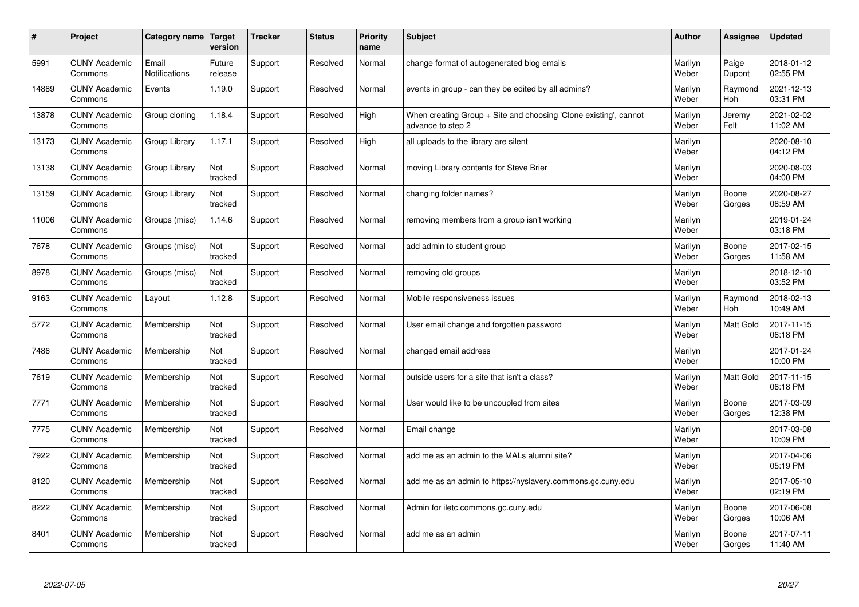| $\pmb{\#}$ | Project                         | Category name          | Target<br>version | <b>Tracker</b> | <b>Status</b> | <b>Priority</b><br>name | <b>Subject</b>                                                                        | <b>Author</b>    | Assignee        | <b>Updated</b>         |
|------------|---------------------------------|------------------------|-------------------|----------------|---------------|-------------------------|---------------------------------------------------------------------------------------|------------------|-----------------|------------------------|
| 5991       | <b>CUNY Academic</b><br>Commons | Email<br>Notifications | Future<br>release | Support        | Resolved      | Normal                  | change format of autogenerated blog emails                                            | Marilyn<br>Weber | Paige<br>Dupont | 2018-01-12<br>02:55 PM |
| 14889      | <b>CUNY Academic</b><br>Commons | Events                 | 1.19.0            | Support        | Resolved      | Normal                  | events in group - can they be edited by all admins?                                   | Marilyn<br>Weber | Raymond<br>Hoh  | 2021-12-13<br>03:31 PM |
| 13878      | <b>CUNY Academic</b><br>Commons | Group cloning          | 1.18.4            | Support        | Resolved      | High                    | When creating Group + Site and choosing 'Clone existing', cannot<br>advance to step 2 | Marilyn<br>Weber | Jeremy<br>Felt  | 2021-02-02<br>11:02 AM |
| 13173      | <b>CUNY Academic</b><br>Commons | Group Library          | 1.17.1            | Support        | Resolved      | High                    | all uploads to the library are silent                                                 | Marilyn<br>Weber |                 | 2020-08-10<br>04:12 PM |
| 13138      | <b>CUNY Academic</b><br>Commons | Group Library          | Not<br>tracked    | Support        | Resolved      | Normal                  | moving Library contents for Steve Brier                                               | Marilyn<br>Weber |                 | 2020-08-03<br>04:00 PM |
| 13159      | <b>CUNY Academic</b><br>Commons | Group Library          | Not<br>tracked    | Support        | Resolved      | Normal                  | changing folder names?                                                                | Marilyn<br>Weber | Boone<br>Gorges | 2020-08-27<br>08:59 AM |
| 11006      | <b>CUNY Academic</b><br>Commons | Groups (misc)          | 1.14.6            | Support        | Resolved      | Normal                  | removing members from a group isn't working                                           | Marilyn<br>Weber |                 | 2019-01-24<br>03:18 PM |
| 7678       | <b>CUNY Academic</b><br>Commons | Groups (misc)          | Not<br>tracked    | Support        | Resolved      | Normal                  | add admin to student group                                                            | Marilyn<br>Weber | Boone<br>Gorges | 2017-02-15<br>11:58 AM |
| 8978       | <b>CUNY Academic</b><br>Commons | Groups (misc)          | Not<br>tracked    | Support        | Resolved      | Normal                  | removing old groups                                                                   | Marilyn<br>Weber |                 | 2018-12-10<br>03:52 PM |
| 9163       | <b>CUNY Academic</b><br>Commons | Layout                 | 1.12.8            | Support        | Resolved      | Normal                  | Mobile responsiveness issues                                                          | Marilyn<br>Weber | Raymond<br>Hoh  | 2018-02-13<br>10:49 AM |
| 5772       | <b>CUNY Academic</b><br>Commons | Membership             | Not<br>tracked    | Support        | Resolved      | Normal                  | User email change and forgotten password                                              | Marilyn<br>Weber | Matt Gold       | 2017-11-15<br>06:18 PM |
| 7486       | <b>CUNY Academic</b><br>Commons | Membership             | Not<br>tracked    | Support        | Resolved      | Normal                  | changed email address                                                                 | Marilyn<br>Weber |                 | 2017-01-24<br>10:00 PM |
| 7619       | <b>CUNY Academic</b><br>Commons | Membership             | Not<br>tracked    | Support        | Resolved      | Normal                  | outside users for a site that isn't a class?                                          | Marilyn<br>Weber | Matt Gold       | 2017-11-15<br>06:18 PM |
| 7771       | <b>CUNY Academic</b><br>Commons | Membership             | Not<br>tracked    | Support        | Resolved      | Normal                  | User would like to be uncoupled from sites                                            | Marilyn<br>Weber | Boone<br>Gorges | 2017-03-09<br>12:38 PM |
| 7775       | <b>CUNY Academic</b><br>Commons | Membership             | Not<br>tracked    | Support        | Resolved      | Normal                  | Email change                                                                          | Marilyn<br>Weber |                 | 2017-03-08<br>10:09 PM |
| 7922       | <b>CUNY Academic</b><br>Commons | Membership             | Not<br>tracked    | Support        | Resolved      | Normal                  | add me as an admin to the MALs alumni site?                                           | Marilyn<br>Weber |                 | 2017-04-06<br>05:19 PM |
| 8120       | <b>CUNY Academic</b><br>Commons | Membership             | Not<br>tracked    | Support        | Resolved      | Normal                  | add me as an admin to https://nyslavery.commons.gc.cuny.edu                           | Marilyn<br>Weber |                 | 2017-05-10<br>02:19 PM |
| 8222       | <b>CUNY Academic</b><br>Commons | Membership             | Not<br>tracked    | Support        | Resolved      | Normal                  | Admin for iletc.commons.gc.cuny.edu                                                   | Marilyn<br>Weber | Boone<br>Gorges | 2017-06-08<br>10:06 AM |
| 8401       | <b>CUNY Academic</b><br>Commons | Membership             | Not<br>tracked    | Support        | Resolved      | Normal                  | add me as an admin                                                                    | Marilyn<br>Weber | Boone<br>Gorges | 2017-07-11<br>11:40 AM |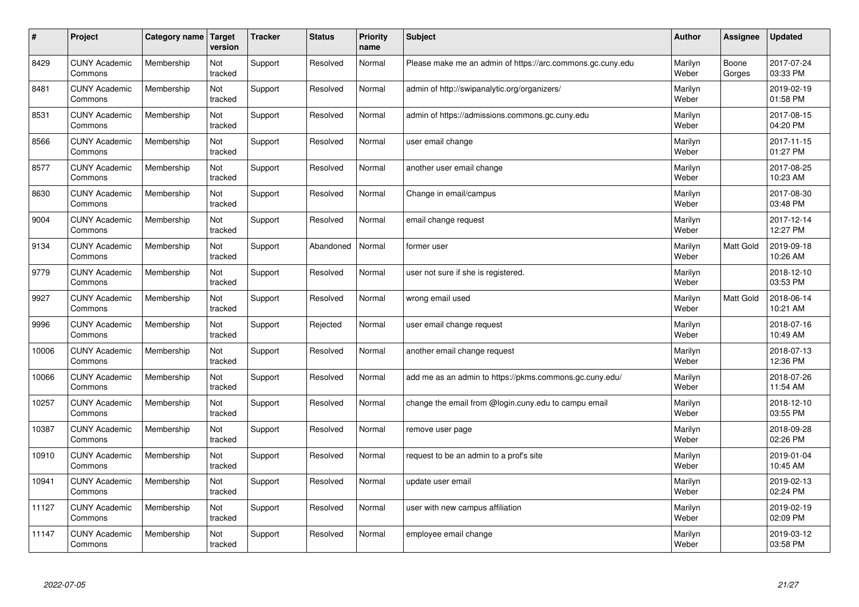| #     | Project                         | Category name   Target | version        | <b>Tracker</b> | <b>Status</b> | Priority<br>name | <b>Subject</b>                                             | <b>Author</b>    | <b>Assignee</b>  | <b>Updated</b>         |
|-------|---------------------------------|------------------------|----------------|----------------|---------------|------------------|------------------------------------------------------------|------------------|------------------|------------------------|
| 8429  | <b>CUNY Academic</b><br>Commons | Membership             | Not<br>tracked | Support        | Resolved      | Normal           | Please make me an admin of https://arc.commons.gc.cuny.edu | Marilyn<br>Weber | Boone<br>Gorges  | 2017-07-24<br>03:33 PM |
| 8481  | <b>CUNY Academic</b><br>Commons | Membership             | Not<br>tracked | Support        | Resolved      | Normal           | admin of http://swipanalytic.org/organizers/               | Marilyn<br>Weber |                  | 2019-02-19<br>01:58 PM |
| 8531  | <b>CUNY Academic</b><br>Commons | Membership             | Not<br>tracked | Support        | Resolved      | Normal           | admin of https://admissions.commons.gc.cuny.edu            | Marilyn<br>Weber |                  | 2017-08-15<br>04:20 PM |
| 8566  | <b>CUNY Academic</b><br>Commons | Membership             | Not<br>tracked | Support        | Resolved      | Normal           | user email change                                          | Marilyn<br>Weber |                  | 2017-11-15<br>01:27 PM |
| 8577  | <b>CUNY Academic</b><br>Commons | Membership             | Not<br>tracked | Support        | Resolved      | Normal           | another user email change                                  | Marilyn<br>Weber |                  | 2017-08-25<br>10:23 AM |
| 8630  | <b>CUNY Academic</b><br>Commons | Membership             | Not<br>tracked | Support        | Resolved      | Normal           | Change in email/campus                                     | Marilyn<br>Weber |                  | 2017-08-30<br>03:48 PM |
| 9004  | <b>CUNY Academic</b><br>Commons | Membership             | Not<br>tracked | Support        | Resolved      | Normal           | email change request                                       | Marilyn<br>Weber |                  | 2017-12-14<br>12:27 PM |
| 9134  | <b>CUNY Academic</b><br>Commons | Membership             | Not<br>tracked | Support        | Abandoned     | Normal           | former user                                                | Marilyn<br>Weber | <b>Matt Gold</b> | 2019-09-18<br>10:26 AM |
| 9779  | <b>CUNY Academic</b><br>Commons | Membership             | Not<br>tracked | Support        | Resolved      | Normal           | user not sure if she is registered.                        | Marilyn<br>Weber |                  | 2018-12-10<br>03:53 PM |
| 9927  | <b>CUNY Academic</b><br>Commons | Membership             | Not<br>tracked | Support        | Resolved      | Normal           | wrong email used                                           | Marilyn<br>Weber | Matt Gold        | 2018-06-14<br>10:21 AM |
| 9996  | <b>CUNY Academic</b><br>Commons | Membership             | Not<br>tracked | Support        | Rejected      | Normal           | user email change request                                  | Marilyn<br>Weber |                  | 2018-07-16<br>10:49 AM |
| 10006 | <b>CUNY Academic</b><br>Commons | Membership             | Not<br>tracked | Support        | Resolved      | Normal           | another email change request                               | Marilyn<br>Weber |                  | 2018-07-13<br>12:36 PM |
| 10066 | <b>CUNY Academic</b><br>Commons | Membership             | Not<br>tracked | Support        | Resolved      | Normal           | add me as an admin to https://pkms.commons.gc.cuny.edu/    | Marilyn<br>Weber |                  | 2018-07-26<br>11:54 AM |
| 10257 | <b>CUNY Academic</b><br>Commons | Membership             | Not<br>tracked | Support        | Resolved      | Normal           | change the email from @login.cuny.edu to campu email       | Marilyn<br>Weber |                  | 2018-12-10<br>03:55 PM |
| 10387 | <b>CUNY Academic</b><br>Commons | Membership             | Not<br>tracked | Support        | Resolved      | Normal           | remove user page                                           | Marilyn<br>Weber |                  | 2018-09-28<br>02:26 PM |
| 10910 | <b>CUNY Academic</b><br>Commons | Membership             | Not<br>tracked | Support        | Resolved      | Normal           | request to be an admin to a prof's site                    | Marilyn<br>Weber |                  | 2019-01-04<br>10:45 AM |
| 10941 | <b>CUNY Academic</b><br>Commons | Membership             | Not<br>tracked | Support        | Resolved      | Normal           | update user email                                          | Marilyn<br>Weber |                  | 2019-02-13<br>02:24 PM |
| 11127 | <b>CUNY Academic</b><br>Commons | Membership             | Not<br>tracked | Support        | Resolved      | Normal           | user with new campus affiliation                           | Marilyn<br>Weber |                  | 2019-02-19<br>02:09 PM |
| 11147 | <b>CUNY Academic</b><br>Commons | Membership             | Not<br>tracked | Support        | Resolved      | Normal           | employee email change                                      | Marilyn<br>Weber |                  | 2019-03-12<br>03:58 PM |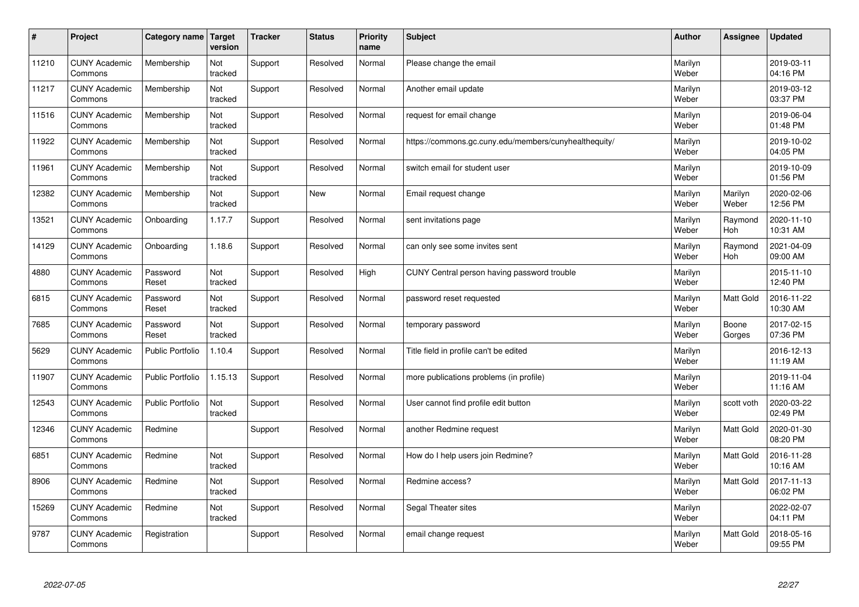| $\pmb{\#}$ | Project                         | Category name           | <b>Target</b><br>version | <b>Tracker</b> | <b>Status</b> | <b>Priority</b><br>name | <b>Subject</b>                                        | <b>Author</b>    | Assignee         | <b>Updated</b>         |
|------------|---------------------------------|-------------------------|--------------------------|----------------|---------------|-------------------------|-------------------------------------------------------|------------------|------------------|------------------------|
| 11210      | <b>CUNY Academic</b><br>Commons | Membership              | Not<br>tracked           | Support        | Resolved      | Normal                  | Please change the email                               | Marilyn<br>Weber |                  | 2019-03-11<br>04:16 PM |
| 11217      | <b>CUNY Academic</b><br>Commons | Membership              | Not<br>tracked           | Support        | Resolved      | Normal                  | Another email update                                  | Marilyn<br>Weber |                  | 2019-03-12<br>03:37 PM |
| 11516      | <b>CUNY Academic</b><br>Commons | Membership              | Not<br>tracked           | Support        | Resolved      | Normal                  | request for email change                              | Marilyn<br>Weber |                  | 2019-06-04<br>01:48 PM |
| 11922      | <b>CUNY Academic</b><br>Commons | Membership              | Not<br>tracked           | Support        | Resolved      | Normal                  | https://commons.gc.cuny.edu/members/cunyhealthequity/ | Marilyn<br>Weber |                  | 2019-10-02<br>04:05 PM |
| 11961      | <b>CUNY Academic</b><br>Commons | Membership              | Not<br>tracked           | Support        | Resolved      | Normal                  | switch email for student user                         | Marilyn<br>Weber |                  | 2019-10-09<br>01:56 PM |
| 12382      | <b>CUNY Academic</b><br>Commons | Membership              | Not<br>tracked           | Support        | <b>New</b>    | Normal                  | Email request change                                  | Marilyn<br>Weber | Marilyn<br>Weber | 2020-02-06<br>12:56 PM |
| 13521      | <b>CUNY Academic</b><br>Commons | Onboarding              | 1.17.7                   | Support        | Resolved      | Normal                  | sent invitations page                                 | Marilyn<br>Weber | Raymond<br>Hoh   | 2020-11-10<br>10:31 AM |
| 14129      | <b>CUNY Academic</b><br>Commons | Onboarding              | 1.18.6                   | Support        | Resolved      | Normal                  | can only see some invites sent                        | Marilyn<br>Weber | Raymond<br>Hoh   | 2021-04-09<br>09:00 AM |
| 4880       | <b>CUNY Academic</b><br>Commons | Password<br>Reset       | Not<br>tracked           | Support        | Resolved      | High                    | CUNY Central person having password trouble           | Marilyn<br>Weber |                  | 2015-11-10<br>12:40 PM |
| 6815       | <b>CUNY Academic</b><br>Commons | Password<br>Reset       | Not<br>tracked           | Support        | Resolved      | Normal                  | password reset requested                              | Marilyn<br>Weber | Matt Gold        | 2016-11-22<br>10:30 AM |
| 7685       | <b>CUNY Academic</b><br>Commons | Password<br>Reset       | Not<br>tracked           | Support        | Resolved      | Normal                  | temporary password                                    | Marilyn<br>Weber | Boone<br>Gorges  | 2017-02-15<br>07:36 PM |
| 5629       | <b>CUNY Academic</b><br>Commons | <b>Public Portfolio</b> | 1.10.4                   | Support        | Resolved      | Normal                  | Title field in profile can't be edited                | Marilyn<br>Weber |                  | 2016-12-13<br>11:19 AM |
| 11907      | <b>CUNY Academic</b><br>Commons | <b>Public Portfolio</b> | 1.15.13                  | Support        | Resolved      | Normal                  | more publications problems (in profile)               | Marilyn<br>Weber |                  | 2019-11-04<br>11:16 AM |
| 12543      | <b>CUNY Academic</b><br>Commons | Public Portfolio        | Not<br>tracked           | Support        | Resolved      | Normal                  | User cannot find profile edit button                  | Marilyn<br>Weber | scott voth       | 2020-03-22<br>02:49 PM |
| 12346      | <b>CUNY Academic</b><br>Commons | Redmine                 |                          | Support        | Resolved      | Normal                  | another Redmine request                               | Marilyn<br>Weber | Matt Gold        | 2020-01-30<br>08:20 PM |
| 6851       | <b>CUNY Academic</b><br>Commons | Redmine                 | Not<br>tracked           | Support        | Resolved      | Normal                  | How do I help users join Redmine?                     | Marilyn<br>Weber | Matt Gold        | 2016-11-28<br>10:16 AM |
| 8906       | <b>CUNY Academic</b><br>Commons | Redmine                 | Not<br>tracked           | Support        | Resolved      | Normal                  | Redmine access?                                       | Marilyn<br>Weber | Matt Gold        | 2017-11-13<br>06:02 PM |
| 15269      | <b>CUNY Academic</b><br>Commons | Redmine                 | Not<br>tracked           | Support        | Resolved      | Normal                  | Segal Theater sites                                   | Marilyn<br>Weber |                  | 2022-02-07<br>04:11 PM |
| 9787       | <b>CUNY Academic</b><br>Commons | Registration            |                          | Support        | Resolved      | Normal                  | email change request                                  | Marilyn<br>Weber | Matt Gold        | 2018-05-16<br>09:55 PM |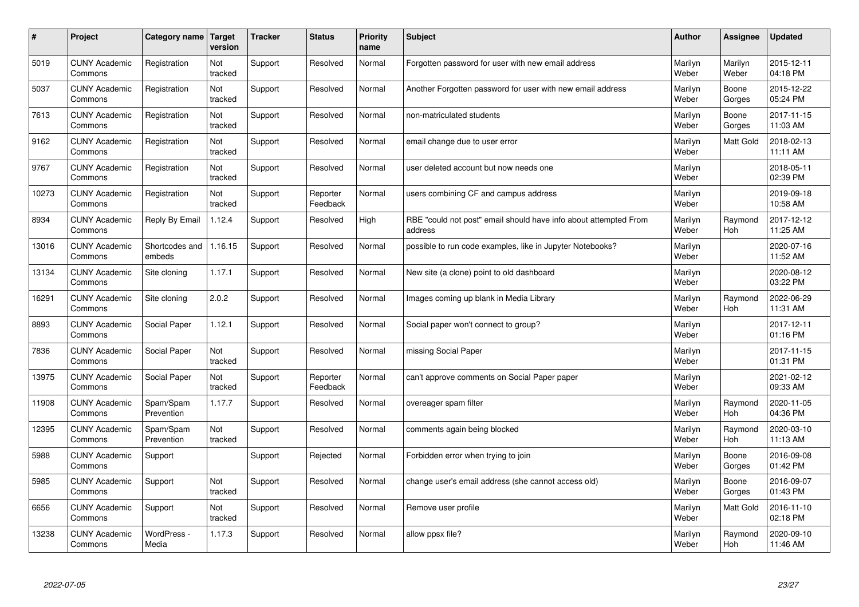| #     | Project                         | Category name            | <b>Target</b><br>version | <b>Tracker</b> | <b>Status</b>        | <b>Priority</b><br>name | <b>Subject</b>                                                              | <b>Author</b>    | Assignee              | <b>Updated</b>         |
|-------|---------------------------------|--------------------------|--------------------------|----------------|----------------------|-------------------------|-----------------------------------------------------------------------------|------------------|-----------------------|------------------------|
| 5019  | <b>CUNY Academic</b><br>Commons | Registration             | Not<br>tracked           | Support        | Resolved             | Normal                  | Forgotten password for user with new email address                          | Marilyn<br>Weber | Marilyn<br>Weber      | 2015-12-11<br>04:18 PM |
| 5037  | <b>CUNY Academic</b><br>Commons | Registration             | Not<br>tracked           | Support        | Resolved             | Normal                  | Another Forgotten password for user with new email address                  | Marilyn<br>Weber | Boone<br>Gorges       | 2015-12-22<br>05:24 PM |
| 7613  | <b>CUNY Academic</b><br>Commons | Registration             | Not<br>tracked           | Support        | Resolved             | Normal                  | non-matriculated students                                                   | Marilyn<br>Weber | Boone<br>Gorges       | 2017-11-15<br>11:03 AM |
| 9162  | <b>CUNY Academic</b><br>Commons | Registration             | Not<br>tracked           | Support        | Resolved             | Normal                  | email change due to user error                                              | Marilyn<br>Weber | Matt Gold             | 2018-02-13<br>11:11 AM |
| 9767  | <b>CUNY Academic</b><br>Commons | Registration             | Not<br>tracked           | Support        | Resolved             | Normal                  | user deleted account but now needs one                                      | Marilyn<br>Weber |                       | 2018-05-11<br>02:39 PM |
| 10273 | <b>CUNY Academic</b><br>Commons | Registration             | Not<br>tracked           | Support        | Reporter<br>Feedback | Normal                  | users combining CF and campus address                                       | Marilyn<br>Weber |                       | 2019-09-18<br>10:58 AM |
| 8934  | <b>CUNY Academic</b><br>Commons | Reply By Email           | 1.12.4                   | Support        | Resolved             | High                    | RBE "could not post" email should have info about attempted From<br>address | Marilyn<br>Weber | Raymond<br><b>Hoh</b> | 2017-12-12<br>11:25 AM |
| 13016 | <b>CUNY Academic</b><br>Commons | Shortcodes and<br>embeds | 1.16.15                  | Support        | Resolved             | Normal                  | possible to run code examples, like in Jupyter Notebooks?                   | Marilyn<br>Weber |                       | 2020-07-16<br>11:52 AM |
| 13134 | <b>CUNY Academic</b><br>Commons | Site cloning             | 1.17.1                   | Support        | Resolved             | Normal                  | New site (a clone) point to old dashboard                                   | Marilyn<br>Weber |                       | 2020-08-12<br>03:22 PM |
| 16291 | <b>CUNY Academic</b><br>Commons | Site cloning             | 2.0.2                    | Support        | Resolved             | Normal                  | Images coming up blank in Media Library                                     | Marilyn<br>Weber | Raymond<br>Hoh        | 2022-06-29<br>11:31 AM |
| 8893  | <b>CUNY Academic</b><br>Commons | Social Paper             | 1.12.1                   | Support        | Resolved             | Normal                  | Social paper won't connect to group?                                        | Marilyn<br>Weber |                       | 2017-12-11<br>01:16 PM |
| 7836  | <b>CUNY Academic</b><br>Commons | Social Paper             | Not<br>tracked           | Support        | Resolved             | Normal                  | missing Social Paper                                                        | Marilyn<br>Weber |                       | 2017-11-15<br>01:31 PM |
| 13975 | <b>CUNY Academic</b><br>Commons | Social Paper             | Not<br>tracked           | Support        | Reporter<br>Feedback | Normal                  | can't approve comments on Social Paper paper                                | Marilyn<br>Weber |                       | 2021-02-12<br>09:33 AM |
| 11908 | <b>CUNY Academic</b><br>Commons | Spam/Spam<br>Prevention  | 1.17.7                   | Support        | Resolved             | Normal                  | overeager spam filter                                                       | Marilyn<br>Weber | Raymond<br>Hoh        | 2020-11-05<br>04:36 PM |
| 12395 | <b>CUNY Academic</b><br>Commons | Spam/Spam<br>Prevention  | Not<br>tracked           | Support        | Resolved             | Normal                  | comments again being blocked                                                | Marilyn<br>Weber | Raymond<br>Hoh        | 2020-03-10<br>11:13 AM |
| 5988  | <b>CUNY Academic</b><br>Commons | Support                  |                          | Support        | Rejected             | Normal                  | Forbidden error when trying to join                                         | Marilyn<br>Weber | Boone<br>Gorges       | 2016-09-08<br>01:42 PM |
| 5985  | <b>CUNY Academic</b><br>Commons | Support                  | Not<br>tracked           | Support        | Resolved             | Normal                  | change user's email address (she cannot access old)                         | Marilyn<br>Weber | Boone<br>Gorges       | 2016-09-07<br>01:43 PM |
| 6656  | <b>CUNY Academic</b><br>Commons | Support                  | Not<br>tracked           | Support        | Resolved             | Normal                  | Remove user profile                                                         | Marilyn<br>Weber | Matt Gold             | 2016-11-10<br>02:18 PM |
| 13238 | <b>CUNY Academic</b><br>Commons | WordPress -<br>Media     | 1.17.3                   | Support        | Resolved             | Normal                  | allow ppsx file?                                                            | Marilyn<br>Weber | Raymond<br>Hoh        | 2020-09-10<br>11:46 AM |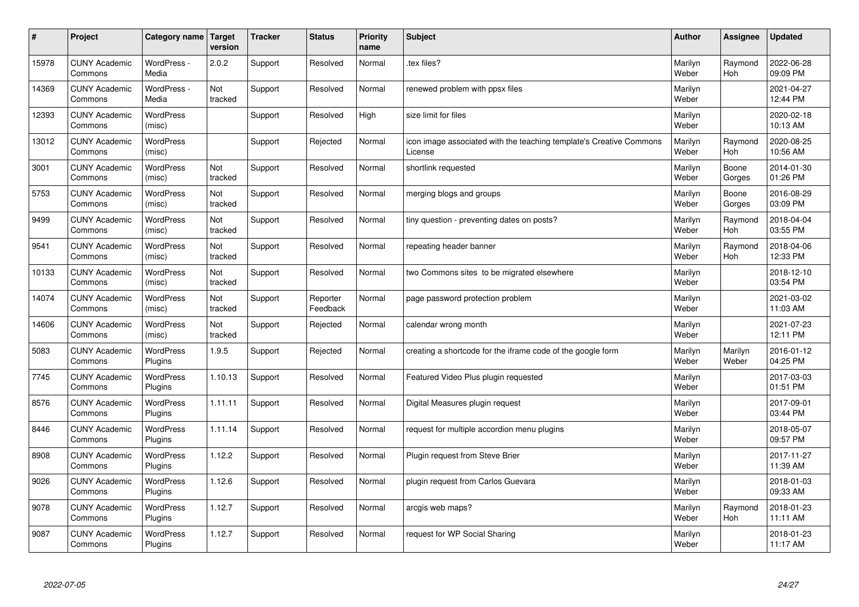| #     | Project                         | Category name               | Target<br>version | <b>Tracker</b> | <b>Status</b>        | <b>Priority</b><br>name | <b>Subject</b>                                                                 | <b>Author</b>    | Assignee              | <b>Updated</b>         |
|-------|---------------------------------|-----------------------------|-------------------|----------------|----------------------|-------------------------|--------------------------------------------------------------------------------|------------------|-----------------------|------------------------|
| 15978 | <b>CUNY Academic</b><br>Commons | WordPress -<br>Media        | 2.0.2             | Support        | Resolved             | Normal                  | tex files?                                                                     | Marilyn<br>Weber | Raymond<br><b>Hoh</b> | 2022-06-28<br>09:09 PM |
| 14369 | <b>CUNY Academic</b><br>Commons | WordPress -<br>Media        | Not<br>tracked    | Support        | Resolved             | Normal                  | renewed problem with ppsx files                                                | Marilyn<br>Weber |                       | 2021-04-27<br>12:44 PM |
| 12393 | <b>CUNY Academic</b><br>Commons | <b>WordPress</b><br>(misc)  |                   | Support        | Resolved             | High                    | size limit for files                                                           | Marilyn<br>Weber |                       | 2020-02-18<br>10:13 AM |
| 13012 | <b>CUNY Academic</b><br>Commons | <b>WordPress</b><br>(misc)  |                   | Support        | Rejected             | Normal                  | icon image associated with the teaching template's Creative Commons<br>License | Marilyn<br>Weber | Raymond<br><b>Hoh</b> | 2020-08-25<br>10:56 AM |
| 3001  | <b>CUNY Academic</b><br>Commons | <b>WordPress</b><br>(misc)  | Not<br>tracked    | Support        | Resolved             | Normal                  | shortlink requested                                                            | Marilyn<br>Weber | Boone<br>Gorges       | 2014-01-30<br>01:26 PM |
| 5753  | <b>CUNY Academic</b><br>Commons | WordPress<br>(misc)         | Not<br>tracked    | Support        | Resolved             | Normal                  | merging blogs and groups                                                       | Marilyn<br>Weber | Boone<br>Gorges       | 2016-08-29<br>03:09 PM |
| 9499  | <b>CUNY Academic</b><br>Commons | <b>WordPress</b><br>(misc)  | Not<br>tracked    | Support        | Resolved             | Normal                  | tiny question - preventing dates on posts?                                     | Marilyn<br>Weber | Raymond<br>Hoh        | 2018-04-04<br>03:55 PM |
| 9541  | <b>CUNY Academic</b><br>Commons | <b>WordPress</b><br>(misc)  | Not<br>tracked    | Support        | Resolved             | Normal                  | repeating header banner                                                        | Marilyn<br>Weber | Raymond<br>Hoh        | 2018-04-06<br>12:33 PM |
| 10133 | <b>CUNY Academic</b><br>Commons | <b>WordPress</b><br>(misc)  | Not<br>tracked    | Support        | Resolved             | Normal                  | two Commons sites to be migrated elsewhere                                     | Marilyn<br>Weber |                       | 2018-12-10<br>03:54 PM |
| 14074 | <b>CUNY Academic</b><br>Commons | WordPress<br>(misc)         | Not<br>tracked    | Support        | Reporter<br>Feedback | Normal                  | page password protection problem                                               | Marilyn<br>Weber |                       | 2021-03-02<br>11:03 AM |
| 14606 | <b>CUNY Academic</b><br>Commons | WordPress<br>(misc)         | Not<br>tracked    | Support        | Rejected             | Normal                  | calendar wrong month                                                           | Marilyn<br>Weber |                       | 2021-07-23<br>12:11 PM |
| 5083  | <b>CUNY Academic</b><br>Commons | <b>WordPress</b><br>Plugins | 1.9.5             | Support        | Rejected             | Normal                  | creating a shortcode for the iframe code of the google form                    | Marilyn<br>Weber | Marilyn<br>Weber      | 2016-01-12<br>04:25 PM |
| 7745  | <b>CUNY Academic</b><br>Commons | <b>WordPress</b><br>Plugins | 1.10.13           | Support        | Resolved             | Normal                  | Featured Video Plus plugin requested                                           | Marilyn<br>Weber |                       | 2017-03-03<br>01:51 PM |
| 8576  | <b>CUNY Academic</b><br>Commons | WordPress<br>Plugins        | 1.11.11           | Support        | Resolved             | Normal                  | Digital Measures plugin request                                                | Marilyn<br>Weber |                       | 2017-09-01<br>03:44 PM |
| 8446  | <b>CUNY Academic</b><br>Commons | <b>WordPress</b><br>Plugins | 1.11.14           | Support        | Resolved             | Normal                  | request for multiple accordion menu plugins                                    | Marilyn<br>Weber |                       | 2018-05-07<br>09:57 PM |
| 8908  | <b>CUNY Academic</b><br>Commons | <b>WordPress</b><br>Plugins | 1.12.2            | Support        | Resolved             | Normal                  | Plugin request from Steve Brier                                                | Marilyn<br>Weber |                       | 2017-11-27<br>11:39 AM |
| 9026  | <b>CUNY Academic</b><br>Commons | WordPress<br>Plugins        | 1.12.6            | Support        | Resolved             | Normal                  | plugin request from Carlos Guevara                                             | Marilyn<br>Weber |                       | 2018-01-03<br>09:33 AM |
| 9078  | <b>CUNY Academic</b><br>Commons | WordPress<br>Plugins        | 1.12.7            | Support        | Resolved             | Normal                  | arcgis web maps?                                                               | Marilyn<br>Weber | Raymond<br>Hoh        | 2018-01-23<br>11:11 AM |
| 9087  | <b>CUNY Academic</b><br>Commons | WordPress<br>Plugins        | 1.12.7            | Support        | Resolved             | Normal                  | request for WP Social Sharing                                                  | Marilyn<br>Weber |                       | 2018-01-23<br>11:17 AM |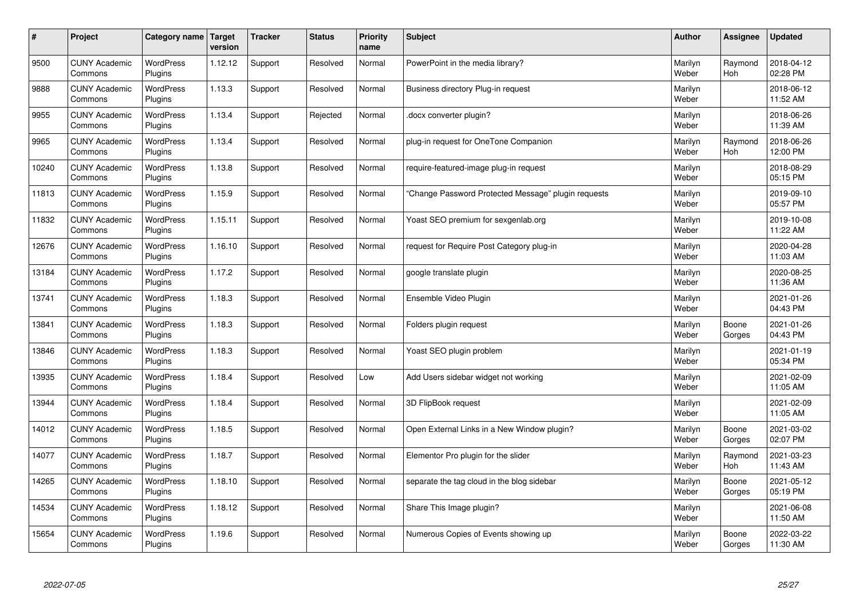| #     | Project                         | Category name   Target      | version | <b>Tracker</b> | <b>Status</b> | <b>Priority</b><br>name | <b>Subject</b>                                      | <b>Author</b>    | Assignee              | <b>Updated</b>         |
|-------|---------------------------------|-----------------------------|---------|----------------|---------------|-------------------------|-----------------------------------------------------|------------------|-----------------------|------------------------|
| 9500  | <b>CUNY Academic</b><br>Commons | <b>WordPress</b><br>Plugins | 1.12.12 | Support        | Resolved      | Normal                  | PowerPoint in the media library?                    | Marilyn<br>Weber | Raymond<br><b>Hoh</b> | 2018-04-12<br>02:28 PM |
| 9888  | <b>CUNY Academic</b><br>Commons | <b>WordPress</b><br>Plugins | 1.13.3  | Support        | Resolved      | Normal                  | Business directory Plug-in request                  | Marilyn<br>Weber |                       | 2018-06-12<br>11:52 AM |
| 9955  | <b>CUNY Academic</b><br>Commons | <b>WordPress</b><br>Plugins | 1.13.4  | Support        | Rejected      | Normal                  | docx converter plugin?                              | Marilyn<br>Weber |                       | 2018-06-26<br>11:39 AM |
| 9965  | <b>CUNY Academic</b><br>Commons | <b>WordPress</b><br>Plugins | 1.13.4  | Support        | Resolved      | Normal                  | plug-in request for OneTone Companion               | Marilyn<br>Weber | Raymond<br>Hoh        | 2018-06-26<br>12:00 PM |
| 10240 | <b>CUNY Academic</b><br>Commons | <b>WordPress</b><br>Plugins | 1.13.8  | Support        | Resolved      | Normal                  | require-featured-image plug-in request              | Marilyn<br>Weber |                       | 2018-08-29<br>05:15 PM |
| 11813 | <b>CUNY Academic</b><br>Commons | <b>WordPress</b><br>Plugins | 1.15.9  | Support        | Resolved      | Normal                  | 'Change Password Protected Message" plugin requests | Marilyn<br>Weber |                       | 2019-09-10<br>05:57 PM |
| 11832 | <b>CUNY Academic</b><br>Commons | <b>WordPress</b><br>Plugins | 1.15.11 | Support        | Resolved      | Normal                  | Yoast SEO premium for sexgenlab.org                 | Marilyn<br>Weber |                       | 2019-10-08<br>11:22 AM |
| 12676 | <b>CUNY Academic</b><br>Commons | WordPress<br>Plugins        | 1.16.10 | Support        | Resolved      | Normal                  | request for Require Post Category plug-in           | Marilyn<br>Weber |                       | 2020-04-28<br>11:03 AM |
| 13184 | <b>CUNY Academic</b><br>Commons | WordPress<br>Plugins        | 1.17.2  | Support        | Resolved      | Normal                  | google translate plugin                             | Marilyn<br>Weber |                       | 2020-08-25<br>11:36 AM |
| 13741 | <b>CUNY Academic</b><br>Commons | WordPress<br>Plugins        | 1.18.3  | Support        | Resolved      | Normal                  | Ensemble Video Plugin                               | Marilyn<br>Weber |                       | 2021-01-26<br>04:43 PM |
| 13841 | <b>CUNY Academic</b><br>Commons | <b>WordPress</b><br>Plugins | 1.18.3  | Support        | Resolved      | Normal                  | Folders plugin request                              | Marilyn<br>Weber | Boone<br>Gorges       | 2021-01-26<br>04:43 PM |
| 13846 | <b>CUNY Academic</b><br>Commons | <b>WordPress</b><br>Plugins | 1.18.3  | Support        | Resolved      | Normal                  | Yoast SEO plugin problem                            | Marilyn<br>Weber |                       | 2021-01-19<br>05:34 PM |
| 13935 | <b>CUNY Academic</b><br>Commons | <b>WordPress</b><br>Plugins | 1.18.4  | Support        | Resolved      | Low                     | Add Users sidebar widget not working                | Marilyn<br>Weber |                       | 2021-02-09<br>11:05 AM |
| 13944 | <b>CUNY Academic</b><br>Commons | WordPress<br>Plugins        | 1.18.4  | Support        | Resolved      | Normal                  | 3D FlipBook request                                 | Marilyn<br>Weber |                       | 2021-02-09<br>11:05 AM |
| 14012 | <b>CUNY Academic</b><br>Commons | WordPress<br>Plugins        | 1.18.5  | Support        | Resolved      | Normal                  | Open External Links in a New Window plugin?         | Marilyn<br>Weber | Boone<br>Gorges       | 2021-03-02<br>02:07 PM |
| 14077 | <b>CUNY Academic</b><br>Commons | WordPress<br>Plugins        | 1.18.7  | Support        | Resolved      | Normal                  | Elementor Pro plugin for the slider                 | Marilyn<br>Weber | Raymond<br>Hoh        | 2021-03-23<br>11:43 AM |
| 14265 | <b>CUNY Academic</b><br>Commons | WordPress<br>Plugins        | 1.18.10 | Support        | Resolved      | Normal                  | separate the tag cloud in the blog sidebar          | Marilyn<br>Weber | Boone<br>Gorges       | 2021-05-12<br>05:19 PM |
| 14534 | <b>CUNY Academic</b><br>Commons | WordPress<br>Plugins        | 1.18.12 | Support        | Resolved      | Normal                  | Share This Image plugin?                            | Marilyn<br>Weber |                       | 2021-06-08<br>11:50 AM |
| 15654 | <b>CUNY Academic</b><br>Commons | <b>WordPress</b><br>Plugins | 1.19.6  | Support        | Resolved      | Normal                  | Numerous Copies of Events showing up                | Marilyn<br>Weber | Boone<br>Gorges       | 2022-03-22<br>11:30 AM |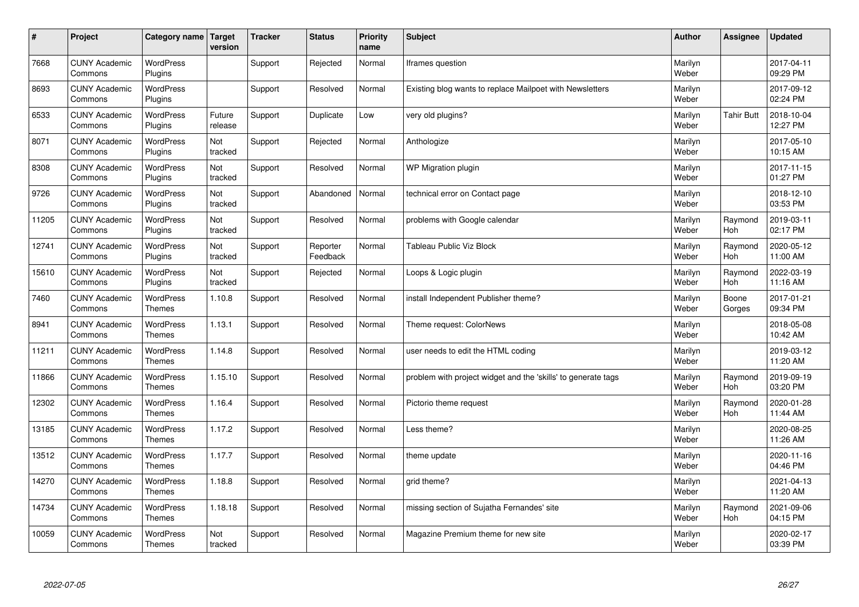| $\sharp$ | Project                         | Category name   Target            | version           | <b>Tracker</b> | <b>Status</b>        | <b>Priority</b><br>name | <b>Subject</b>                                                | <b>Author</b>    | Assignee              | <b>Updated</b>         |
|----------|---------------------------------|-----------------------------------|-------------------|----------------|----------------------|-------------------------|---------------------------------------------------------------|------------------|-----------------------|------------------------|
| 7668     | <b>CUNY Academic</b><br>Commons | <b>WordPress</b><br>Plugins       |                   | Support        | Rejected             | Normal                  | Iframes question                                              | Marilyn<br>Weber |                       | 2017-04-11<br>09:29 PM |
| 8693     | <b>CUNY Academic</b><br>Commons | <b>WordPress</b><br>Plugins       |                   | Support        | Resolved             | Normal                  | Existing blog wants to replace Mailpoet with Newsletters      | Marilyn<br>Weber |                       | 2017-09-12<br>02:24 PM |
| 6533     | <b>CUNY Academic</b><br>Commons | <b>WordPress</b><br>Plugins       | Future<br>release | Support        | Duplicate            | Low                     | very old plugins?                                             | Marilyn<br>Weber | <b>Tahir Butt</b>     | 2018-10-04<br>12:27 PM |
| 8071     | <b>CUNY Academic</b><br>Commons | <b>WordPress</b><br>Plugins       | Not<br>tracked    | Support        | Rejected             | Normal                  | Anthologize                                                   | Marilyn<br>Weber |                       | 2017-05-10<br>10:15 AM |
| 8308     | <b>CUNY Academic</b><br>Commons | <b>WordPress</b><br>Plugins       | Not<br>tracked    | Support        | Resolved             | Normal                  | WP Migration plugin                                           | Marilyn<br>Weber |                       | 2017-11-15<br>01:27 PM |
| 9726     | <b>CUNY Academic</b><br>Commons | WordPress<br>Plugins              | Not<br>tracked    | Support        | Abandoned            | Normal                  | technical error on Contact page                               | Marilyn<br>Weber |                       | 2018-12-10<br>03:53 PM |
| 11205    | <b>CUNY Academic</b><br>Commons | <b>WordPress</b><br>Plugins       | Not<br>tracked    | Support        | Resolved             | Normal                  | problems with Google calendar                                 | Marilyn<br>Weber | Raymond<br>Hoh        | 2019-03-11<br>02:17 PM |
| 12741    | <b>CUNY Academic</b><br>Commons | <b>WordPress</b><br>Plugins       | Not<br>tracked    | Support        | Reporter<br>Feedback | Normal                  | <b>Tableau Public Viz Block</b>                               | Marilyn<br>Weber | Raymond<br><b>Hoh</b> | 2020-05-12<br>11:00 AM |
| 15610    | <b>CUNY Academic</b><br>Commons | WordPress<br>Plugins              | Not<br>tracked    | Support        | Rejected             | Normal                  | Loops & Logic plugin                                          | Marilyn<br>Weber | Raymond<br>Hoh        | 2022-03-19<br>11:16 AM |
| 7460     | <b>CUNY Academic</b><br>Commons | <b>WordPress</b><br>Themes        | 1.10.8            | Support        | Resolved             | Normal                  | install Independent Publisher theme?                          | Marilyn<br>Weber | Boone<br>Gorges       | 2017-01-21<br>09:34 PM |
| 8941     | <b>CUNY Academic</b><br>Commons | WordPress<br><b>Themes</b>        | 1.13.1            | Support        | Resolved             | Normal                  | Theme request: ColorNews                                      | Marilyn<br>Weber |                       | 2018-05-08<br>10:42 AM |
| 11211    | <b>CUNY Academic</b><br>Commons | <b>WordPress</b><br><b>Themes</b> | 1.14.8            | Support        | Resolved             | Normal                  | user needs to edit the HTML coding                            | Marilyn<br>Weber |                       | 2019-03-12<br>11:20 AM |
| 11866    | <b>CUNY Academic</b><br>Commons | WordPress<br><b>Themes</b>        | 1.15.10           | Support        | Resolved             | Normal                  | problem with project widget and the 'skills' to generate tags | Marilyn<br>Weber | Raymond<br>Hoh        | 2019-09-19<br>03:20 PM |
| 12302    | <b>CUNY Academic</b><br>Commons | <b>WordPress</b><br><b>Themes</b> | 1.16.4            | Support        | Resolved             | Normal                  | Pictorio theme request                                        | Marilyn<br>Weber | Raymond<br><b>Hoh</b> | 2020-01-28<br>11:44 AM |
| 13185    | <b>CUNY Academic</b><br>Commons | WordPress<br><b>Themes</b>        | 1.17.2            | Support        | Resolved             | Normal                  | Less theme?                                                   | Marilyn<br>Weber |                       | 2020-08-25<br>11:26 AM |
| 13512    | <b>CUNY Academic</b><br>Commons | <b>WordPress</b><br><b>Themes</b> | 1.17.7            | Support        | Resolved             | Normal                  | theme update                                                  | Marilyn<br>Weber |                       | 2020-11-16<br>04:46 PM |
| 14270    | <b>CUNY Academic</b><br>Commons | <b>WordPress</b><br><b>Themes</b> | 1.18.8            | Support        | Resolved             | Normal                  | grid theme?                                                   | Marilyn<br>Weber |                       | 2021-04-13<br>11:20 AM |
| 14734    | <b>CUNY Academic</b><br>Commons | WordPress<br><b>Themes</b>        | 1.18.18           | Support        | Resolved             | Normal                  | missing section of Sujatha Fernandes' site                    | Marilyn<br>Weber | Raymond<br><b>Hoh</b> | 2021-09-06<br>04:15 PM |
| 10059    | <b>CUNY Academic</b><br>Commons | WordPress<br><b>Themes</b>        | Not<br>tracked    | Support        | Resolved             | Normal                  | Magazine Premium theme for new site                           | Marilyn<br>Weber |                       | 2020-02-17<br>03:39 PM |